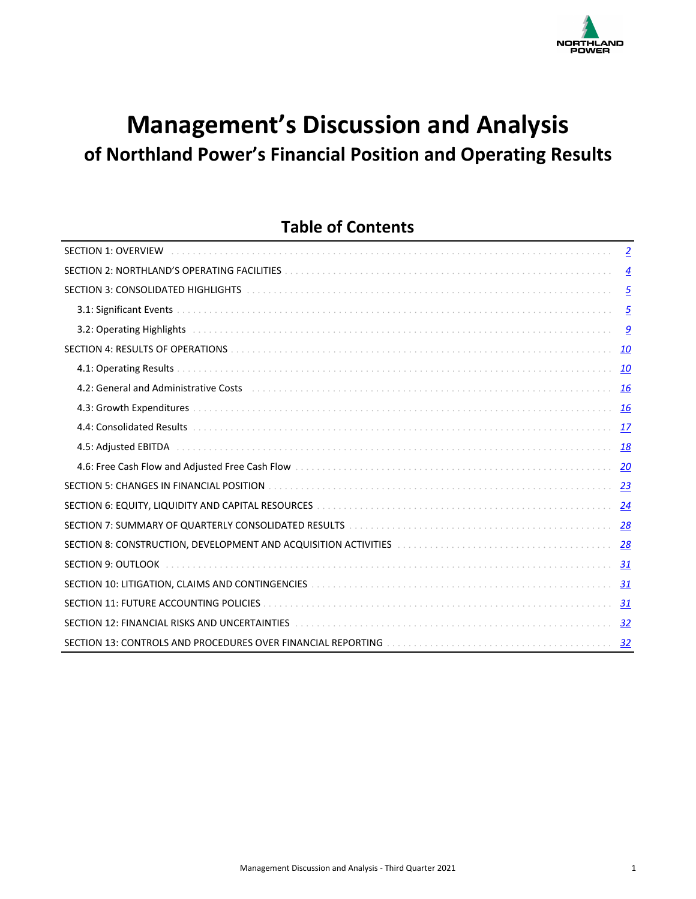

# **Management's Discussion and Analysis** of Northland Power's Financial Position and Operating Results

## **Table of Contents**

| <b>SECTION 1: OVERVIEW</b>                                                                                                                                                                                                     | $\overline{2}$  |
|--------------------------------------------------------------------------------------------------------------------------------------------------------------------------------------------------------------------------------|-----------------|
| SECTION 2: NORTHLAND'S OPERATING FACILITIES [19] THE RELATION CONTROL CONTROL CONTROL CONTROL CONTROL CONTROL CONTROL CONTROL CONTROL CONTROL CONTROL CONTROL CONTROL CONTROL CONTROL CONTROL CONTROL CONTROL CONTROL CONTROL  | $\overline{4}$  |
| SECTION 3: CONSOLIDATED HIGHLIGHTS [10] ALL ACCOMMENT AND THE SECTION 3: CONSOLIDATED HIGHLIGHTS [10] ALL ACCO                                                                                                                 | $\overline{5}$  |
|                                                                                                                                                                                                                                | $\overline{5}$  |
|                                                                                                                                                                                                                                | $\underline{9}$ |
|                                                                                                                                                                                                                                | <u> 10</u>      |
|                                                                                                                                                                                                                                | <u>10</u>       |
|                                                                                                                                                                                                                                | <u>16</u>       |
|                                                                                                                                                                                                                                | <b>16</b>       |
|                                                                                                                                                                                                                                | 17              |
| 4.5: Adjusted EBITDA Adjustment and the contract of the contract of the contract of the contract of the contract of the contract of the contract of the contract of the contract of the contract of the contract of the contra | 18              |
|                                                                                                                                                                                                                                | 20              |
| SECTION 5: CHANGES IN FINANCIAL POSITION                                                                                                                                                                                       | 23              |
|                                                                                                                                                                                                                                | $\overline{24}$ |
| SECTION 7: SUMMARY OF QUARTERLY CONSOLIDATED RESULTS ACCOMODATION CONTINUES AND RESIDENCE AND RESIDENCE AND RE                                                                                                                 |                 |
| SECTION 8: CONSTRUCTION, DEVELOPMENT AND ACQUISITION ACTIVITIES [10] CONDITIONAL CONSTRUCTION ASSETTION ACTIVITIES                                                                                                             | 28              |
| SECTION 9: OUTLOOK                                                                                                                                                                                                             | 31              |
|                                                                                                                                                                                                                                | 31              |
| SECTION 11: FUTURE ACCOUNTING POLICIES                                                                                                                                                                                         | 31              |
| SECTION 12: FINANCIAL RISKS AND UNCERTAINTIES [19] ALLOWER AND ACCOUNT AND ACCOUNT AND THE SECTION 12: FINANCIAL RISKS                                                                                                         | 32              |
|                                                                                                                                                                                                                                | 32              |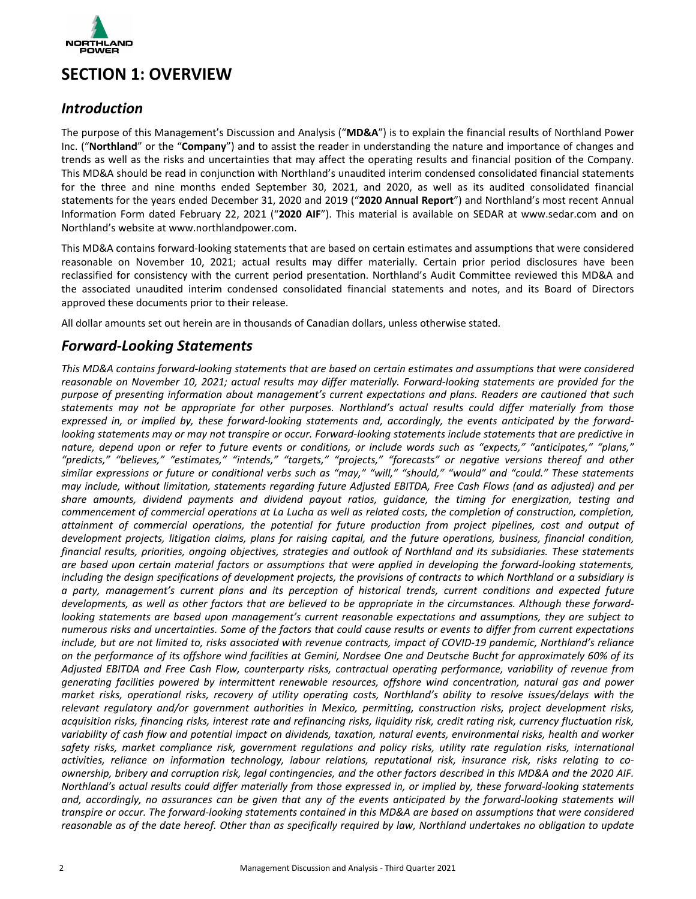<span id="page-1-0"></span>

## **SECTION 1: OVERVIEW**

### *Introduction*

The purpose of this Management's Discussion and Analysis ("MD&A") is to explain the financial results of Northland Power Inc. ("**Northland**" or the "**Company**") and to assist the reader in understanding the nature and importance of changes and trends as well as the risks and uncertainties that may affect the operating results and financial position of the Company. This MD&A should be read in conjunction with Northland's unaudited interim condensed consolidated financial statements for the three and nine months ended September 30, 2021, and 2020, as well as its audited consolidated financial statements for the years ended December 31, 2020 and 2019 ("2020 Annual Report") and Northland's most recent Annual Information Form dated February 22, 2021 ("2020 AIF"). This material is available on SEDAR at www.sedar.com and on Northland's website at www.northlandpower.com.

This MD&A contains forward-looking statements that are based on certain estimates and assumptions that were considered reasonable on November 10, 2021; actual results may differ materially. Certain prior period disclosures have been reclassified for consistency with the current period presentation. Northland's Audit Committee reviewed this MD&A and the associated unaudited interim condensed consolidated financial statements and notes, and its Board of Directors approved these documents prior to their release.

All dollar amounts set out herein are in thousands of Canadian dollars, unless otherwise stated.

### *Forward-Looking Statements*

This MD&A contains forward-looking statements that are based on certain estimates and assumptions that were considered reasonable on November 10, 2021; actual results may differ materially. Forward-looking statements are provided for the purpose of presenting information about management's current expectations and plans. Readers are cautioned that such statements may not be appropriate for other purposes. Northland's actual results could differ materially from those expressed in, or implied by, these forward-looking statements and, accordingly, the events anticipated by the forward*looking* statements may or may not transpire or occur. Forward-looking statements include statements that are predictive in nature, depend upon or refer to future events or conditions, or include words such as "expects," "anticipates," "plans," "predicts," "believes," "estimates," "intends," "targets," "projects," "forecasts" or negative versions thereof and other *similar expressions or future or conditional verbs such as "may," "will," "should," "would" and "could." These statements may include, without limitation, statements regarding future Adjusted EBITDA, Free Cash Flows (and as adjusted) and per* share amounts, dividend payments and dividend payout ratios, guidance, the timing for energization, testing and *commencement of commercial operations at La Lucha as well as related costs, the completion of construction, completion,* attainment of commercial operations, the potential for future production from project pipelines, cost and output of *development projects, litigation claims, plans for raising capital, and the future operations, business, financial condition, financial results, priorities, ongoing objectives, strategies and outlook of Northland and its subsidiaries. These statements* are based upon certain material factors or assumptions that were applied in developing the forward-looking statements, *including* the design specifications of development projects, the provisions of contracts to which Northland or a subsidiary is *a party, management's current plans and its perception of historical trends, current conditions and expected future*  developments, as well as other factors that are believed to be appropriate in the circumstances. Although these forward*looking* statements are based upon management's current reasonable expectations and assumptions, they are subject to numerous risks and uncertainties. Some of the factors that could cause results or events to differ from current expectations include, but are not limited to, risks associated with revenue contracts, impact of COVID-19 pandemic, Northland's reliance on the performance of its offshore wind facilities at Gemini, Nordsee One and Deutsche Bucht for approximately 60% of its Adjusted EBITDA and Free Cash Flow, counterparty risks, contractual operating performance, variability of revenue from generating facilities powered by intermittent renewable resources, offshore wind concentration, natural gas and power market risks, operational risks, recovery of utility operating costs, Northland's ability to resolve issues/delays with the relevant regulatory and/or government authorities in Mexico, permitting, construction risks, project development risks, *acquisition risks, financing risks, interest rate and refinancing risks, liquidity risk, credit rating risk, currency fluctuation risk,* variability of cash flow and potential impact on dividends, taxation, natural events, environmental risks, health and worker safety risks, market compliance risk, government regulations and policy risks, utility rate regulation risks, international activities, reliance on information technology, labour relations, reputational risk, insurance risk, risks relating to co*ownership, bribery and corruption risk, legal contingencies, and the other factors described in this MD&A and the 2020 AIF. Northland's actual results could differ materially from those expressed in, or implied by, these forward-looking statements* and, accordingly, no assurances can be given that any of the events anticipated by the forward-looking statements will *transpire* or occur. The forward-looking statements contained in this MD&A are based on assumptions that were considered reasonable as of the date hereof. Other than as specifically required by law, Northland undertakes no obligation to update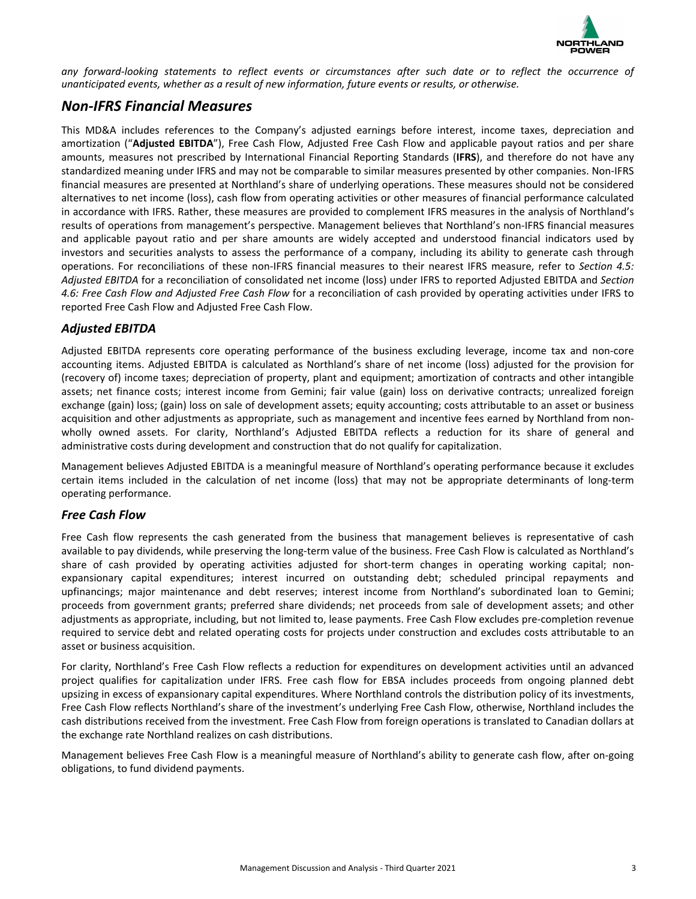

any forward-looking statements to reflect events or circumstances after such date or to reflect the occurrence of unanticipated events, whether as a result of new information, future events or results, or otherwise.

### *Non-IFRS Financial Measures*

This MD&A includes references to the Company's adjusted earnings before interest, income taxes, depreciation and amortization ("Adjusted EBITDA"), Free Cash Flow, Adjusted Free Cash Flow and applicable payout ratios and per share amounts, measures not prescribed by International Financial Reporting Standards (**IFRS**), and therefore do not have any standardized meaning under IFRS and may not be comparable to similar measures presented by other companies. Non-IFRS financial measures are presented at Northland's share of underlying operations. These measures should not be considered alternatives to net income (loss), cash flow from operating activities or other measures of financial performance calculated in accordance with IFRS. Rather, these measures are provided to complement IFRS measures in the analysis of Northland's results of operations from management's perspective. Management believes that Northland's non-IFRS financial measures and applicable payout ratio and per share amounts are widely accepted and understood financial indicators used by investors and securities analysts to assess the performance of a company, including its ability to generate cash through operations. For reconciliations of these non-IFRS financial measures to their nearest IFRS measure, refer to Section 4.5: Adjusted EBITDA for a reconciliation of consolidated net income (loss) under IFRS to reported Adjusted EBITDA and Section 4.6: Free Cash Flow and Adjusted Free Cash Flow for a reconciliation of cash provided by operating activities under IFRS to reported Free Cash Flow and Adjusted Free Cash Flow.

### *Adjusted EBITDA*

Adjusted EBITDA represents core operating performance of the business excluding leverage, income tax and non-core accounting items. Adjusted EBITDA is calculated as Northland's share of net income (loss) adjusted for the provision for (recovery of) income taxes; depreciation of property, plant and equipment; amortization of contracts and other intangible assets; net finance costs; interest income from Gemini; fair value (gain) loss on derivative contracts; unrealized foreign exchange (gain) loss; (gain) loss on sale of development assets; equity accounting; costs attributable to an asset or business acquisition and other adjustments as appropriate, such as management and incentive fees earned by Northland from nonwholly owned assets. For clarity, Northland's Adjusted EBITDA reflects a reduction for its share of general and administrative costs during development and construction that do not qualify for capitalization.

Management believes Adjusted EBITDA is a meaningful measure of Northland's operating performance because it excludes certain items included in the calculation of net income (loss) that may not be appropriate determinants of long-term operating performance.

### *Free Cash Flow*

Free Cash flow represents the cash generated from the business that management believes is representative of cash available to pay dividends, while preserving the long-term value of the business. Free Cash Flow is calculated as Northland's share of cash provided by operating activities adjusted for short-term changes in operating working capital; nonexpansionary capital expenditures; interest incurred on outstanding debt; scheduled principal repayments and upfinancings; major maintenance and debt reserves; interest income from Northland's subordinated loan to Gemini; proceeds from government grants; preferred share dividends; net proceeds from sale of development assets; and other adjustments as appropriate, including, but not limited to, lease payments. Free Cash Flow excludes pre-completion revenue required to service debt and related operating costs for projects under construction and excludes costs attributable to an asset or business acquisition.

For clarity, Northland's Free Cash Flow reflects a reduction for expenditures on development activities until an advanced project qualifies for capitalization under IFRS. Free cash flow for EBSA includes proceeds from ongoing planned debt upsizing in excess of expansionary capital expenditures. Where Northland controls the distribution policy of its investments, Free Cash Flow reflects Northland's share of the investment's underlying Free Cash Flow, otherwise, Northland includes the cash distributions received from the investment. Free Cash Flow from foreign operations is translated to Canadian dollars at the exchange rate Northland realizes on cash distributions.

Management believes Free Cash Flow is a meaningful measure of Northland's ability to generate cash flow, after on-going obligations, to fund dividend payments.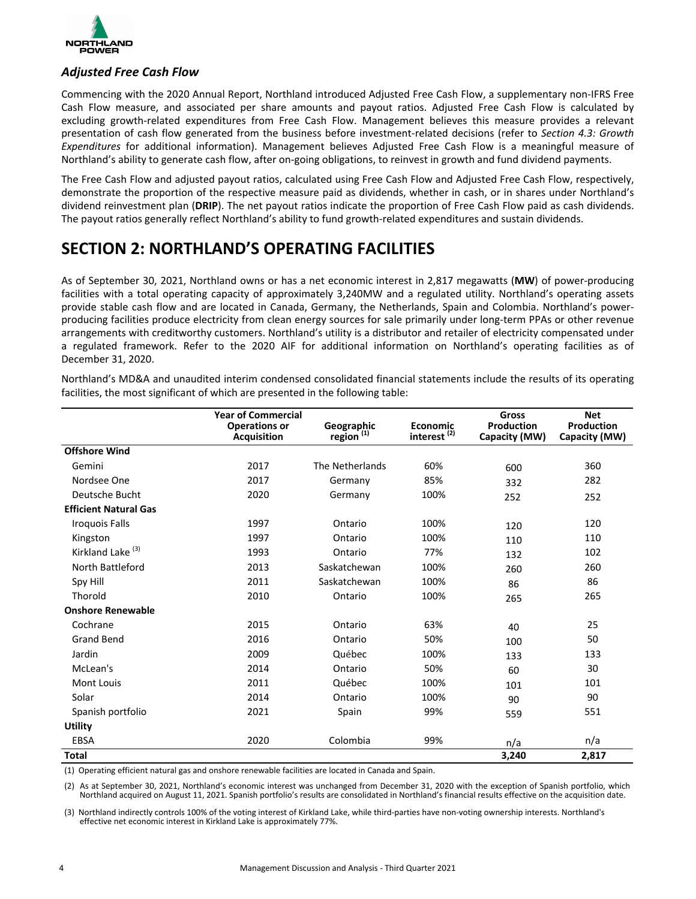<span id="page-3-0"></span>

### *Adjusted Free Cash Flow*

Commencing with the 2020 Annual Report, Northland introduced Adjusted Free Cash Flow, a supplementary non-IFRS Free Cash Flow measure, and associated per share amounts and payout ratios. Adjusted Free Cash Flow is calculated by excluding growth-related expenditures from Free Cash Flow. Management believes this measure provides a relevant presentation of cash flow generated from the business before investment-related decisions (refer to *Section 4.3: Growth Expenditures* for additional information). Management believes Adjusted Free Cash Flow is a meaningful measure of Northland's ability to generate cash flow, after on-going obligations, to reinvest in growth and fund dividend payments.

The Free Cash Flow and adjusted payout ratios, calculated using Free Cash Flow and Adjusted Free Cash Flow, respectively, demonstrate the proportion of the respective measure paid as dividends, whether in cash, or in shares under Northland's dividend reinvestment plan (DRIP). The net payout ratios indicate the proportion of Free Cash Flow paid as cash dividends. The payout ratios generally reflect Northland's ability to fund growth-related expenditures and sustain dividends.

## **SECTION 2: NORTHLAND'S OPERATING FACILITIES**

As of September 30, 2021, Northland owns or has a net economic interest in 2,817 megawatts (MW) of power-producing facilities with a total operating capacity of approximately 3,240MW and a regulated utility. Northland's operating assets provide stable cash flow and are located in Canada, Germany, the Netherlands, Spain and Colombia. Northland's powerproducing facilities produce electricity from clean energy sources for sale primarily under long-term PPAs or other revenue arrangements with creditworthy customers. Northland's utility is a distributor and retailer of electricity compensated under a regulated framework. Refer to the 2020 AIF for additional information on Northland's operating facilities as of December 31, 2020. 

Northland's MD&A and unaudited interim condensed consolidated financial statements include the results of its operating facilities, the most significant of which are presented in the following table:

|                              | <b>Year of Commercial</b>                  |                                     |                                            | <b>Gross</b>                | <b>Net</b>                  |
|------------------------------|--------------------------------------------|-------------------------------------|--------------------------------------------|-----------------------------|-----------------------------|
|                              | <b>Operations or</b><br><b>Acquisition</b> | Geographic<br>region <sup>(1)</sup> | <b>Economic</b><br>interest <sup>(2)</sup> | Production<br>Capacity (MW) | Production<br>Capacity (MW) |
| <b>Offshore Wind</b>         |                                            |                                     |                                            |                             |                             |
| Gemini                       | 2017                                       | The Netherlands                     | 60%                                        | 600                         | 360                         |
| Nordsee One                  | 2017                                       | Germany                             | 85%                                        | 332                         | 282                         |
| Deutsche Bucht               | 2020                                       | Germany                             | 100%                                       | 252                         | 252                         |
| <b>Efficient Natural Gas</b> |                                            |                                     |                                            |                             |                             |
| <b>Iroquois Falls</b>        | 1997                                       | Ontario                             | 100%                                       | 120                         | 120                         |
| Kingston                     | 1997                                       | Ontario                             | 100%                                       | 110                         | 110                         |
| Kirkland Lake <sup>(3)</sup> | 1993                                       | Ontario                             | 77%                                        | 132                         | 102                         |
| North Battleford             | 2013                                       | Saskatchewan                        | 100%                                       | 260                         | 260                         |
| Spy Hill                     | 2011                                       | Saskatchewan                        | 100%                                       | 86                          | 86                          |
| Thorold                      | 2010                                       | Ontario                             | 100%                                       | 265                         | 265                         |
| <b>Onshore Renewable</b>     |                                            |                                     |                                            |                             |                             |
| Cochrane                     | 2015                                       | Ontario                             | 63%                                        | 40                          | 25                          |
| <b>Grand Bend</b>            | 2016                                       | Ontario                             | 50%                                        | 100                         | 50                          |
| Jardin                       | 2009                                       | Québec                              | 100%                                       | 133                         | 133                         |
| McLean's                     | 2014                                       | Ontario                             | 50%                                        | 60                          | 30                          |
| <b>Mont Louis</b>            | 2011                                       | Québec                              | 100%                                       | 101                         | 101                         |
| Solar                        | 2014                                       | Ontario                             | 100%                                       | 90                          | 90                          |
| Spanish portfolio            | 2021                                       | Spain                               | 99%                                        | 559                         | 551                         |
| <b>Utility</b>               |                                            |                                     |                                            |                             |                             |
| EBSA                         | 2020                                       | Colombia                            | 99%                                        | n/a                         | n/a                         |
| <b>Total</b>                 |                                            |                                     |                                            | 3,240                       | 2,817                       |

(1) Operating efficient natural gas and onshore renewable facilities are located in Canada and Spain.

(2) As at September 30, 2021, Northland's economic interest was unchanged from December 31, 2020 with the exception of Spanish portfolio, which Northland acquired on August 11, 2021. Spanish portfolio's results are consolidated in Northland's financial results effective on the acquisition date.

(3) Northland indirectly controls 100% of the voting interest of Kirkland Lake, while third-parties have non-voting ownership interests. Northland's effective net economic interest in Kirkland Lake is approximately 77%.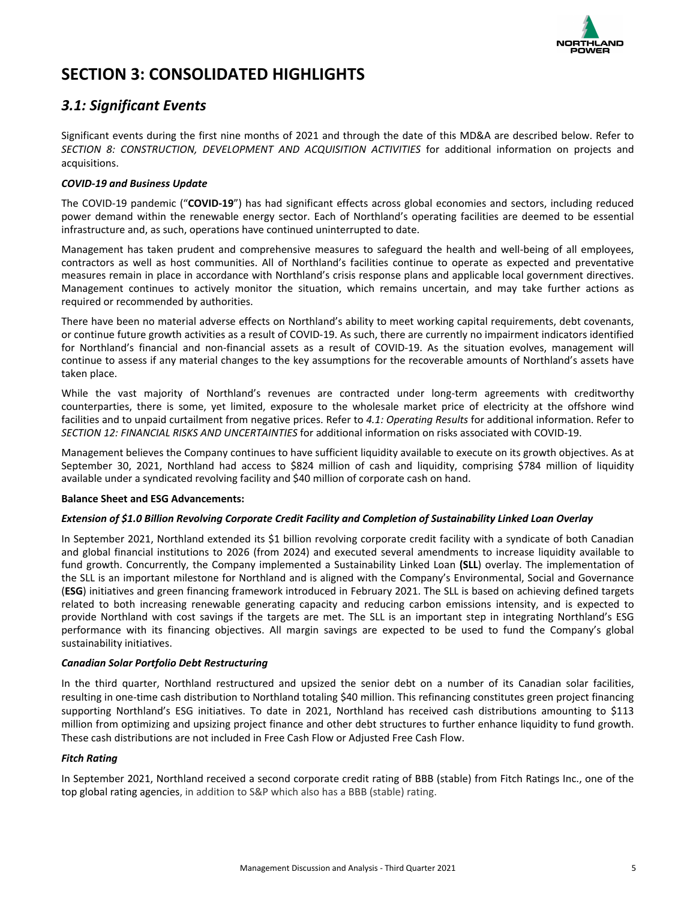

## <span id="page-4-0"></span>**SECTION 3: CONSOLIDATED HIGHLIGHTS**

### *3.1: Significant Events*

Significant events during the first nine months of 2021 and through the date of this MD&A are described below. Refer to **SECTION 8: CONSTRUCTION, DEVELOPMENT AND ACQUISITION ACTIVITIES** for additional information on projects and acquisitions.

### *COVID-19 and Business Update*

The COVID-19 pandemic ("**COVID-19**") has had significant effects across global economies and sectors, including reduced power demand within the renewable energy sector. Each of Northland's operating facilities are deemed to be essential infrastructure and, as such, operations have continued uninterrupted to date.

Management has taken prudent and comprehensive measures to safeguard the health and well-being of all employees, contractors as well as host communities. All of Northland's facilities continue to operate as expected and preventative measures remain in place in accordance with Northland's crisis response plans and applicable local government directives. Management continues to actively monitor the situation, which remains uncertain, and may take further actions as required or recommended by authorities.

There have been no material adverse effects on Northland's ability to meet working capital requirements, debt covenants, or continue future growth activities as a result of COVID-19. As such, there are currently no impairment indicators identified for Northland's financial and non-financial assets as a result of COVID-19. As the situation evolves, management will continue to assess if any material changes to the key assumptions for the recoverable amounts of Northland's assets have taken place.

While the vast majority of Northland's revenues are contracted under long-term agreements with creditworthy counterparties, there is some, yet limited, exposure to the wholesale market price of electricity at the offshore wind facilities and to unpaid curtailment from negative prices. Refer to 4.1: Operating Results for additional information. Refer to **SECTION 12: FINANCIAL RISKS AND UNCERTAINTIES** for additional information on risks associated with COVID-19.

Management believes the Company continues to have sufficient liquidity available to execute on its growth objectives. As at September 30, 2021, Northland had access to \$824 million of cash and liquidity, comprising \$784 million of liquidity available under a syndicated revolving facility and \$40 million of corporate cash on hand.

### **Balance Sheet and ESG Advancements:**

### *Extension of \$1.0 Billion Revolving Corporate Credit Facility and Completion of Sustainability Linked Loan Overlay*

In September 2021, Northland extended its \$1 billion revolving corporate credit facility with a syndicate of both Canadian and global financial institutions to 2026 (from 2024) and executed several amendments to increase liquidity available to fund growth. Concurrently, the Company implemented a Sustainability Linked Loan (SLL) overlay. The implementation of the SLL is an important milestone for Northland and is aligned with the Company's Environmental, Social and Governance (ESG) initiatives and green financing framework introduced in February 2021. The SLL is based on achieving defined targets related to both increasing renewable generating capacity and reducing carbon emissions intensity, and is expected to provide Northland with cost savings if the targets are met. The SLL is an important step in integrating Northland's ESG performance with its financing objectives. All margin savings are expected to be used to fund the Company's global sustainability initiatives.

### *Canadian Solar Portfolio Debt Restructuring*

In the third quarter, Northland restructured and upsized the senior debt on a number of its Canadian solar facilities, resulting in one-time cash distribution to Northland totaling \$40 million. This refinancing constitutes green project financing supporting Northland's ESG initiatives. To date in 2021, Northland has received cash distributions amounting to \$113 million from optimizing and upsizing project finance and other debt structures to further enhance liquidity to fund growth. These cash distributions are not included in Free Cash Flow or Adjusted Free Cash Flow.

### *Fitch Rating*

In September 2021, Northland received a second corporate credit rating of BBB (stable) from Fitch Ratings Inc., one of the top global rating agencies, in addition to S&P which also has a BBB (stable) rating.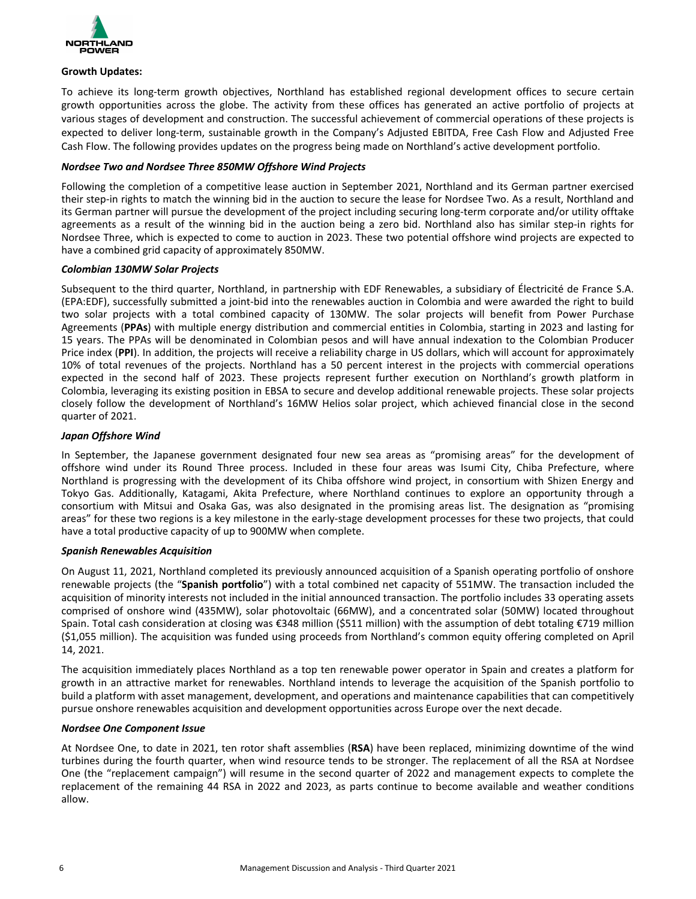

#### **Growth Updates:**

To achieve its long-term growth objectives, Northland has established regional development offices to secure certain growth opportunities across the globe. The activity from these offices has generated an active portfolio of projects at various stages of development and construction. The successful achievement of commercial operations of these projects is expected to deliver long-term, sustainable growth in the Company's Adjusted EBITDA, Free Cash Flow and Adiusted Free Cash Flow. The following provides updates on the progress being made on Northland's active development portfolio.

### *Nordsee Two and Nordsee Three 850MW Offshore Wind Projects*

Following the completion of a competitive lease auction in September 2021, Northland and its German partner exercised their step-in rights to match the winning bid in the auction to secure the lease for Nordsee Two. As a result, Northland and its German partner will pursue the development of the project including securing long-term corporate and/or utility offtake agreements as a result of the winning bid in the auction being a zero bid. Northland also has similar step-in rights for Nordsee Three, which is expected to come to auction in 2023. These two potential offshore wind projects are expected to have a combined grid capacity of approximately 850MW.

#### *Colombian 130MW Solar Projects*

Subsequent to the third quarter, Northland, in partnership with EDF Renewables, a subsidiary of Électricité de France S.A. (EPA:EDF), successfully submitted a joint-bid into the renewables auction in Colombia and were awarded the right to build two solar projects with a total combined capacity of 130MW. The solar projects will benefit from Power Purchase Agreements (PPAs) with multiple energy distribution and commercial entities in Colombia, starting in 2023 and lasting for 15 years. The PPAs will be denominated in Colombian pesos and will have annual indexation to the Colombian Producer Price index (PPI). In addition, the projects will receive a reliability charge in US dollars, which will account for approximately 10% of total revenues of the projects. Northland has a 50 percent interest in the projects with commercial operations expected in the second half of 2023. These projects represent further execution on Northland's growth platform in Colombia, leveraging its existing position in EBSA to secure and develop additional renewable projects. These solar projects closely follow the development of Northland's 16MW Helios solar project, which achieved financial close in the second quarter of 2021.

### *Japan Offshore Wind*

In September, the Japanese government designated four new sea areas as "promising areas" for the development of offshore wind under its Round Three process. Included in these four areas was Isumi City, Chiba Prefecture, where Northland is progressing with the development of its Chiba offshore wind project, in consortium with Shizen Energy and Tokyo Gas. Additionally, Katagami, Akita Prefecture, where Northland continues to explore an opportunity through a consortium with Mitsui and Osaka Gas, was also designated in the promising areas list. The designation as "promising areas" for these two regions is a key milestone in the early-stage development processes for these two projects, that could have a total productive capacity of up to 900MW when complete.

#### *Spanish Renewables Acquisition*

On August 11, 2021, Northland completed its previously announced acquisition of a Spanish operating portfolio of onshore renewable projects (the "Spanish portfolio") with a total combined net capacity of 551MW. The transaction included the acquisition of minority interests not included in the initial announced transaction. The portfolio includes 33 operating assets comprised of onshore wind (435MW), solar photovoltaic (66MW), and a concentrated solar (50MW) located throughout Spain. Total cash consideration at closing was €348 million (\$511 million) with the assumption of debt totaling €719 million (\$1,055 million). The acquisition was funded using proceeds from Northland's common equity offering completed on April 14, 2021.

The acquisition immediately places Northland as a top ten renewable power operator in Spain and creates a platform for growth in an attractive market for renewables. Northland intends to leverage the acquisition of the Spanish portfolio to build a platform with asset management, development, and operations and maintenance capabilities that can competitively pursue onshore renewables acquisition and development opportunities across Europe over the next decade.

#### *Nordsee One Component Issue*

At Nordsee One, to date in 2021, ten rotor shaft assemblies (RSA) have been replaced, minimizing downtime of the wind turbines during the fourth quarter, when wind resource tends to be stronger. The replacement of all the RSA at Nordsee One (the "replacement campaign") will resume in the second quarter of 2022 and management expects to complete the replacement of the remaining 44 RSA in 2022 and 2023, as parts continue to become available and weather conditions allow.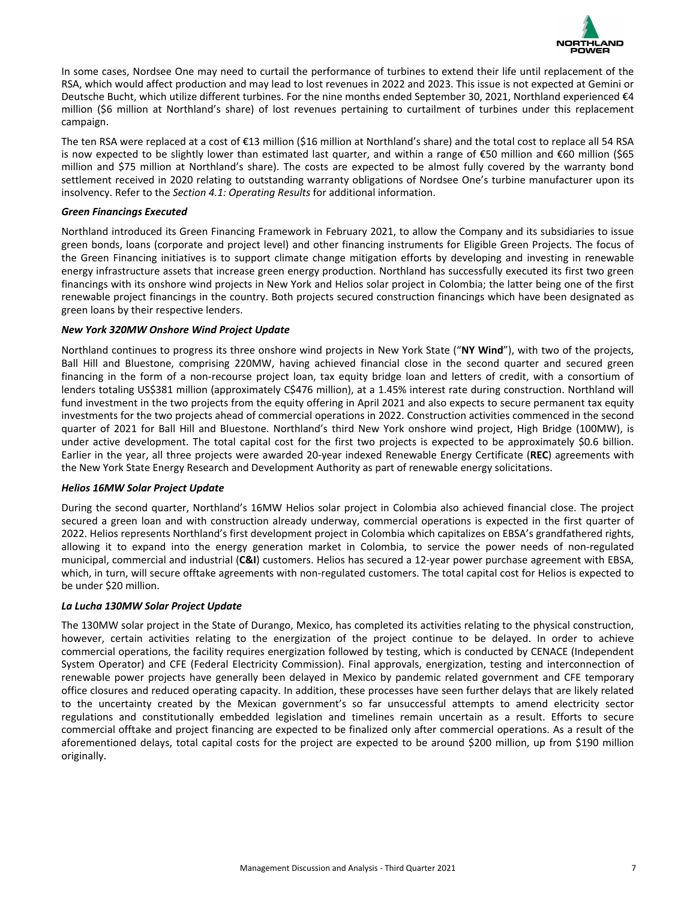

In some cases, Nordsee One may need to curtail the performance of turbines to extend their life until replacement of the RSA, which would affect production and may lead to lost revenues in 2022 and 2023. This issue is not expected at Gemini or Deutsche Bucht, which utilize different turbines. For the nine months ended September 30, 2021, Northland experienced  $\epsilon$ 4 million (\$6 million at Northland's share) of lost revenues pertaining to curtailment of turbines under this replacement campaign.

The ten RSA were replaced at a cost of €13 million (\$16 million at Northland's share) and the total cost to replace all 54 RSA is now expected to be slightly lower than estimated last quarter, and within a range of €50 million and €60 million (\$65 million and \$75 million at Northland's share). The costs are expected to be almost fully covered by the warranty bond settlement received in 2020 relating to outstanding warranty obligations of Nordsee One's turbine manufacturer upon its insolvency. Refer to the *Section 4.1: Operating Results* for additional information.

#### *Green Financings Executed*

Northland introduced its Green Financing Framework in February 2021, to allow the Company and its subsidiaries to issue green bonds, loans (corporate and project level) and other financing instruments for Eligible Green Projects. The focus of the Green Financing initiatives is to support climate change mitigation efforts by developing and investing in renewable energy infrastructure assets that increase green energy production. Northland has successfully executed its first two green financings with its onshore wind projects in New York and Helios solar project in Colombia; the latter being one of the first renewable project financings in the country. Both projects secured construction financings which have been designated as green loans by their respective lenders.

### *New York 320MW Onshore Wind Project Update*

Northland continues to progress its three onshore wind projects in New York State ("NY Wind"), with two of the projects, Ball Hill and Bluestone, comprising 220MW, having achieved financial close in the second quarter and secured green financing in the form of a non-recourse project loan, tax equity bridge loan and letters of credit, with a consortium of lenders totaling US\$381 million (approximately C\$476 million), at a 1.45% interest rate during construction. Northland will fund investment in the two projects from the equity offering in April 2021 and also expects to secure permanent tax equity investments for the two projects ahead of commercial operations in 2022. Construction activities commenced in the second quarter of 2021 for Ball Hill and Bluestone. Northland's third New York onshore wind project, High Bridge (100MW), is under active development. The total capital cost for the first two projects is expected to be approximately \$0.6 billion. Earlier in the year, all three projects were awarded 20-year indexed Renewable Energy Certificate (REC) agreements with the New York State Energy Research and Development Authority as part of renewable energy solicitations.

#### *Helios 16MW Solar Project Update*

During the second quarter, Northland's 16MW Helios solar project in Colombia also achieved financial close. The project secured a green loan and with construction already underway, commercial operations is expected in the first quarter of 2022. Helios represents Northland's first development project in Colombia which capitalizes on EBSA's grandfathered rights, allowing it to expand into the energy generation market in Colombia, to service the power needs of non-regulated municipal, commercial and industrial (C&I) customers. Helios has secured a 12-year power purchase agreement with EBSA, which, in turn, will secure offtake agreements with non-regulated customers. The total capital cost for Helios is expected to be under \$20 million.

#### *La Lucha 130MW Solar Project Update*

The 130MW solar project in the State of Durango, Mexico, has completed its activities relating to the physical construction, however, certain activities relating to the energization of the project continue to be delayed. In order to achieve commercial operations, the facility requires energization followed by testing, which is conducted by CENACE (Independent System Operator) and CFE (Federal Electricity Commission). Final approvals, energization, testing and interconnection of renewable power projects have generally been delayed in Mexico by pandemic related government and CFE temporary office closures and reduced operating capacity. In addition, these processes have seen further delays that are likely related to the uncertainty created by the Mexican government's so far unsuccessful attempts to amend electricity sector regulations and constitutionally embedded legislation and timelines remain uncertain as a result. Efforts to secure commercial offtake and project financing are expected to be finalized only after commercial operations. As a result of the aforementioned delays, total capital costs for the project are expected to be around \$200 million, up from \$190 million originally.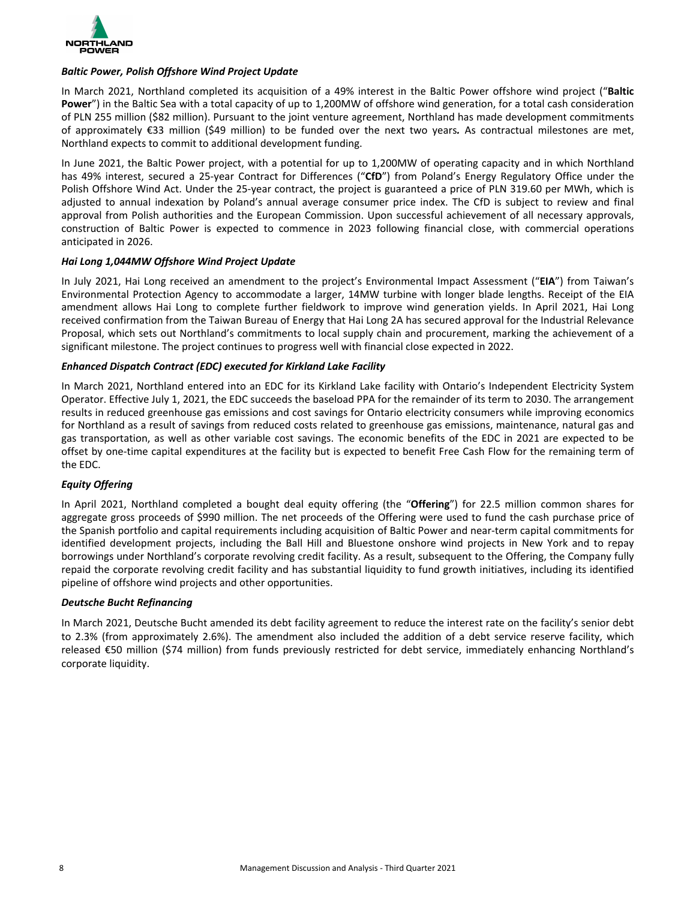

### *Baltic Power, Polish Offshore Wind Project Update*

In March 2021, Northland completed its acquisition of a 49% interest in the Baltic Power offshore wind project ("Baltic **Power**") in the Baltic Sea with a total capacity of up to 1,200MW of offshore wind generation, for a total cash consideration of PLN 255 million (\$82 million). Pursuant to the joint venture agreement, Northland has made development commitments of approximately  $\epsilon$ 33 million (\$49 million) to be funded over the next two years. As contractual milestones are met, Northland expects to commit to additional development funding.

In June 2021, the Baltic Power project, with a potential for up to 1,200MW of operating capacity and in which Northland has 49% interest, secured a 25-year Contract for Differences ("CfD") from Poland's Energy Regulatory Office under the Polish Offshore Wind Act. Under the 25-year contract, the project is guaranteed a price of PLN 319.60 per MWh, which is adjusted to annual indexation by Poland's annual average consumer price index. The CfD is subject to review and final approval from Polish authorities and the European Commission. Upon successful achievement of all necessary approvals, construction of Baltic Power is expected to commence in 2023 following financial close, with commercial operations anticipated in 2026.

### *Hai Long 1,044MW Offshore Wind Project Update*

In July 2021, Hai Long received an amendment to the project's Environmental Impact Assessment ("EIA") from Taiwan's Environmental Protection Agency to accommodate a larger, 14MW turbine with longer blade lengths. Receipt of the EIA amendment allows Hai Long to complete further fieldwork to improve wind generation yields. In April 2021, Hai Long received confirmation from the Taiwan Bureau of Energy that Hai Long 2A has secured approval for the Industrial Relevance Proposal, which sets out Northland's commitments to local supply chain and procurement, marking the achievement of a significant milestone. The project continues to progress well with financial close expected in 2022.

### *Enhanced Dispatch Contract (EDC) executed for Kirkland Lake Facility*

In March 2021, Northland entered into an EDC for its Kirkland Lake facility with Ontario's Independent Electricity System Operator. Effective July 1, 2021, the EDC succeeds the baseload PPA for the remainder of its term to 2030. The arrangement results in reduced greenhouse gas emissions and cost savings for Ontario electricity consumers while improving economics for Northland as a result of savings from reduced costs related to greenhouse gas emissions, maintenance, natural gas and gas transportation, as well as other variable cost savings. The economic benefits of the EDC in 2021 are expected to be offset by one-time capital expenditures at the facility but is expected to benefit Free Cash Flow for the remaining term of the EDC.

### *Equity Offering*

In April 2021, Northland completed a bought deal equity offering (the "Offering") for 22.5 million common shares for aggregate gross proceeds of \$990 million. The net proceeds of the Offering were used to fund the cash purchase price of the Spanish portfolio and capital requirements including acquisition of Baltic Power and near-term capital commitments for identified development projects, including the Ball Hill and Bluestone onshore wind projects in New York and to repay borrowings under Northland's corporate revolving credit facility. As a result, subsequent to the Offering, the Company fully repaid the corporate revolving credit facility and has substantial liquidity to fund growth initiatives, including its identified pipeline of offshore wind projects and other opportunities.

#### *Deutsche Bucht Refinancing*

In March 2021, Deutsche Bucht amended its debt facility agreement to reduce the interest rate on the facility's senior debt to 2.3% (from approximately 2.6%). The amendment also included the addition of a debt service reserve facility, which released €50 million (\$74 million) from funds previously restricted for debt service, immediately enhancing Northland's corporate liquidity.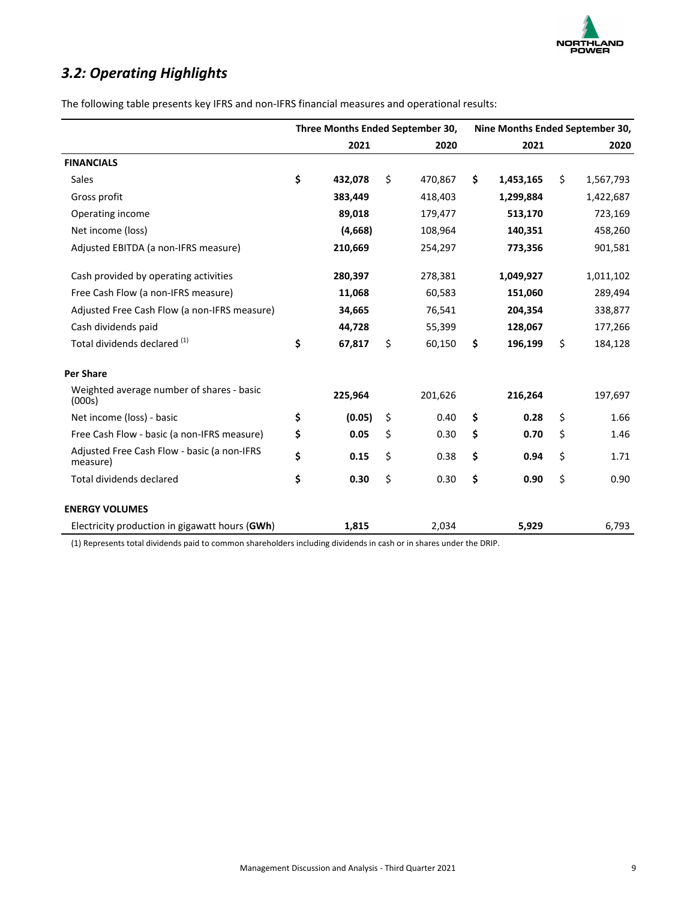

## <span id="page-8-0"></span>*3.2: Operating Highlights*

|                                                         | Three Months Ended September 30, |         |    |         | Nine Months Ended September 30, |           |    |           |
|---------------------------------------------------------|----------------------------------|---------|----|---------|---------------------------------|-----------|----|-----------|
|                                                         |                                  | 2021    |    | 2020    |                                 | 2021      |    | 2020      |
| <b>FINANCIALS</b>                                       |                                  |         |    |         |                                 |           |    |           |
| <b>Sales</b>                                            | \$                               | 432.078 | Ś. | 470,867 | \$                              | 1,453,165 | \$ | 1,567,793 |
| Gross profit                                            |                                  | 383,449 |    | 418,403 |                                 | 1,299,884 |    | 1,422,687 |
| Operating income                                        |                                  | 89,018  |    | 179,477 |                                 | 513,170   |    | 723,169   |
| Net income (loss)                                       |                                  | (4,668) |    | 108,964 |                                 | 140,351   |    | 458,260   |
| Adjusted EBITDA (a non-IFRS measure)                    |                                  | 210,669 |    | 254,297 |                                 | 773,356   |    | 901,581   |
| Cash provided by operating activities                   |                                  | 280,397 |    | 278,381 |                                 | 1,049,927 |    | 1,011,102 |
| Free Cash Flow (a non-IFRS measure)                     |                                  | 11,068  |    | 60,583  |                                 | 151,060   |    | 289,494   |
| Adjusted Free Cash Flow (a non-IFRS measure)            |                                  | 34,665  |    | 76,541  |                                 | 204,354   |    | 338,877   |
| Cash dividends paid                                     |                                  | 44,728  |    | 55,399  |                                 | 128,067   |    | 177,266   |
| Total dividends declared (1)                            | \$                               | 67,817  | Ś. | 60,150  | \$                              | 196,199   | \$ | 184,128   |
| <b>Per Share</b>                                        |                                  |         |    |         |                                 |           |    |           |
| Weighted average number of shares - basic<br>(000s)     |                                  | 225,964 |    | 201,626 |                                 | 216,264   |    | 197,697   |
| Net income (loss) - basic                               | \$                               | (0.05)  | \$ | 0.40    | \$                              | 0.28      | \$ | 1.66      |
| Free Cash Flow - basic (a non-IFRS measure)             | \$                               | 0.05    | \$ | 0.30    | \$                              | 0.70      | Ś. | 1.46      |
| Adjusted Free Cash Flow - basic (a non-IFRS<br>measure) | \$                               | 0.15    | \$ | 0.38    | \$                              | 0.94      | \$ | 1.71      |
| <b>Total dividends declared</b>                         | \$                               | 0.30    | \$ | 0.30    | \$                              | 0.90      | \$ | 0.90      |
| <b>ENERGY VOLUMES</b>                                   |                                  |         |    |         |                                 |           |    |           |
| Electricity production in gigawatt hours (GWh)          |                                  | 1,815   |    | 2,034   |                                 | 5,929     |    | 6,793     |

(1) Represents total dividends paid to common shareholders including dividends in cash or in shares under the DRIP.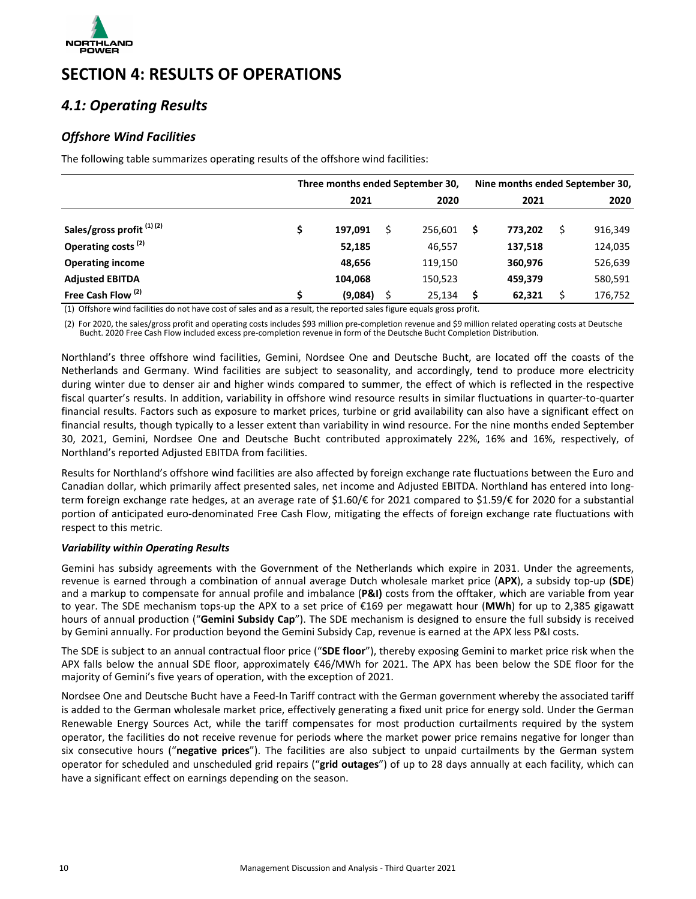<span id="page-9-0"></span>

## **SECTION 4: RESULTS OF OPERATIONS**

### *4.1: Operating Results*

### *Offshore Wind Facilities*

The following table summarizes operating results of the offshore wind facilities:

|                                | Three months ended September 30, |         |  |         | Nine months ended September 30, |         |  |         |
|--------------------------------|----------------------------------|---------|--|---------|---------------------------------|---------|--|---------|
|                                |                                  | 2021    |  | 2020    |                                 | 2021    |  | 2020    |
| Sales/gross profit (1) (2)     |                                  | 197,091 |  | 256.601 | \$                              | 773.202 |  | 916,349 |
| Operating costs <sup>(2)</sup> |                                  | 52,185  |  | 46,557  |                                 | 137,518 |  | 124,035 |
| <b>Operating income</b>        |                                  | 48,656  |  | 119,150 |                                 | 360,976 |  | 526,639 |
| <b>Adjusted EBITDA</b>         |                                  | 104,068 |  | 150,523 |                                 | 459,379 |  | 580,591 |
| Free Cash Flow <sup>(2)</sup>  |                                  | (9,084) |  | 25,134  | \$                              | 62,321  |  | 176,752 |

(1) Offshore wind facilities do not have cost of sales and as a result, the reported sales figure equals gross profit.

(2) For 2020, the sales/gross profit and operating costs includes \$93 million pre-completion revenue and \$9 million related operating costs at Deutsche Bucht. 2020 Free Cash Flow included excess pre-completion revenue in form of the Deutsche Bucht Completion Distribution.

Northland's three offshore wind facilities, Gemini, Nordsee One and Deutsche Bucht, are located off the coasts of the Netherlands and Germany. Wind facilities are subject to seasonality, and accordingly, tend to produce more electricity during winter due to denser air and higher winds compared to summer, the effect of which is reflected in the respective fiscal quarter's results. In addition, variability in offshore wind resource results in similar fluctuations in quarter-to-quarter financial results. Factors such as exposure to market prices, turbine or grid availability can also have a significant effect on financial results, though typically to a lesser extent than variability in wind resource. For the nine months ended September 30, 2021, Gemini, Nordsee One and Deutsche Bucht contributed approximately 22%, 16% and 16%, respectively, of Northland's reported Adjusted EBITDA from facilities.

Results for Northland's offshore wind facilities are also affected by foreign exchange rate fluctuations between the Euro and Canadian dollar, which primarily affect presented sales, net income and Adjusted EBITDA. Northland has entered into longterm foreign exchange rate hedges, at an average rate of \$1.60/€ for 2021 compared to \$1.59/€ for 2020 for a substantial portion of anticipated euro-denominated Free Cash Flow, mitigating the effects of foreign exchange rate fluctuations with respect to this metric.

### *Variability within Operating Results*

Gemini has subsidy agreements with the Government of the Netherlands which expire in 2031. Under the agreements, revenue is earned through a combination of annual average Dutch wholesale market price (APX), a subsidy top-up (SDE) and a markup to compensate for annual profile and imbalance (P&I) costs from the offtaker, which are variable from year to year. The SDE mechanism tops-up the APX to a set price of €169 per megawatt hour (MWh) for up to 2,385 gigawatt hours of annual production ("**Gemini Subsidy Cap**"). The SDE mechanism is designed to ensure the full subsidy is received by Gemini annually. For production beyond the Gemini Subsidy Cap, revenue is earned at the APX less P&I costs.

The SDE is subject to an annual contractual floor price ("**SDE floor**"), thereby exposing Gemini to market price risk when the APX falls below the annual SDE floor, approximately  $\epsilon$ 46/MWh for 2021. The APX has been below the SDE floor for the majority of Gemini's five years of operation, with the exception of 2021.

Nordsee One and Deutsche Bucht have a Feed-In Tariff contract with the German government whereby the associated tariff is added to the German wholesale market price, effectively generating a fixed unit price for energy sold. Under the German Renewable Energy Sources Act, while the tariff compensates for most production curtailments required by the system operator, the facilities do not receive revenue for periods where the market power price remains negative for longer than six consecutive hours ("negative prices"). The facilities are also subject to unpaid curtailments by the German system operator for scheduled and unscheduled grid repairs ("grid outages") of up to 28 days annually at each facility, which can have a significant effect on earnings depending on the season.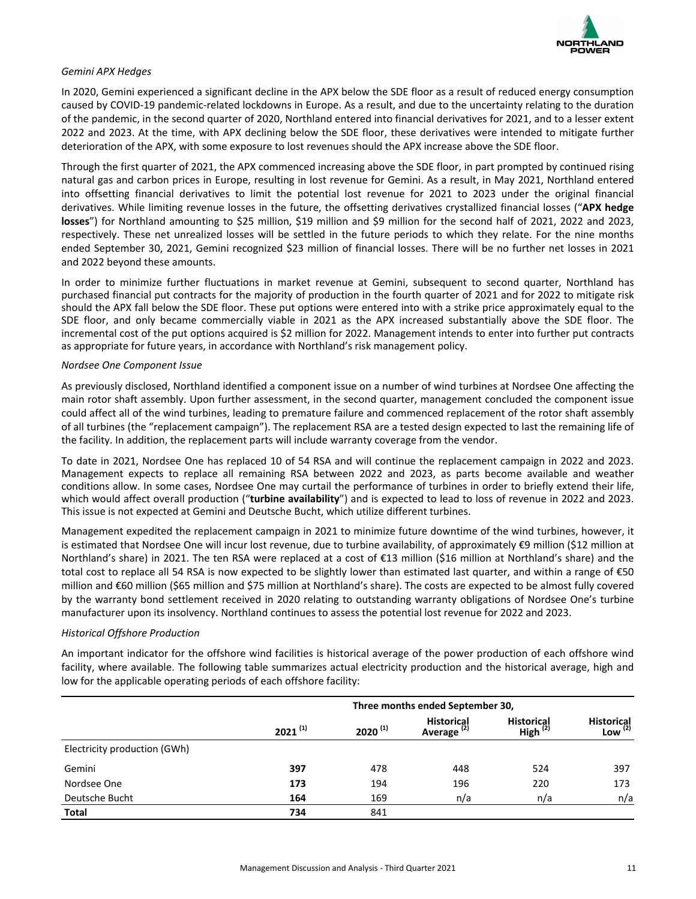

### *Gemini APX Hedges*

In 2020, Gemini experienced a significant decline in the APX below the SDE floor as a result of reduced energy consumption caused by COVID-19 pandemic-related lockdowns in Europe. As a result, and due to the uncertainty relating to the duration of the pandemic, in the second quarter of 2020, Northland entered into financial derivatives for 2021, and to a lesser extent 2022 and 2023. At the time, with APX declining below the SDE floor, these derivatives were intended to mitigate further deterioration of the APX, with some exposure to lost revenues should the APX increase above the SDE floor.

Through the first quarter of 2021, the APX commenced increasing above the SDE floor, in part prompted by continued rising natural gas and carbon prices in Europe, resulting in lost revenue for Gemini. As a result, in May 2021, Northland entered into offsetting financial derivatives to limit the potential lost revenue for 2021 to 2023 under the original financial derivatives. While limiting revenue losses in the future, the offsetting derivatives crystallized financial losses ("APX hedge **losses**") for Northland amounting to \$25 million, \$19 million and \$9 million for the second half of 2021, 2022 and 2023, respectively. These net unrealized losses will be settled in the future periods to which they relate. For the nine months ended September 30, 2021, Gemini recognized \$23 million of financial losses. There will be no further net losses in 2021 and 2022 beyond these amounts.

In order to minimize further fluctuations in market revenue at Gemini, subsequent to second quarter, Northland has purchased financial put contracts for the majority of production in the fourth quarter of 2021 and for 2022 to mitigate risk should the APX fall below the SDE floor. These put options were entered into with a strike price approximately equal to the SDE floor, and only became commercially viable in 2021 as the APX increased substantially above the SDE floor. The incremental cost of the put options acquired is \$2 million for 2022. Management intends to enter into further put contracts as appropriate for future years, in accordance with Northland's risk management policy.

### *Nordsee One Component Issue*

As previously disclosed, Northland identified a component issue on a number of wind turbines at Nordsee One affecting the main rotor shaft assembly. Upon further assessment, in the second quarter, management concluded the component issue could affect all of the wind turbines, leading to premature failure and commenced replacement of the rotor shaft assembly of all turbines (the "replacement campaign"). The replacement RSA are a tested design expected to last the remaining life of the facility. In addition, the replacement parts will include warranty coverage from the vendor.

To date in 2021, Nordsee One has replaced 10 of 54 RSA and will continue the replacement campaign in 2022 and 2023. Management expects to replace all remaining RSA between 2022 and 2023, as parts become available and weather conditions allow. In some cases, Nordsee One may curtail the performance of turbines in order to briefly extend their life, which would affect overall production ("turbine availability") and is expected to lead to loss of revenue in 2022 and 2023. This issue is not expected at Gemini and Deutsche Bucht, which utilize different turbines.

Management expedited the replacement campaign in 2021 to minimize future downtime of the wind turbines, however, it is estimated that Nordsee One will incur lost revenue, due to turbine availability, of approximately €9 million (\$12 million at Northland's share) in 2021. The ten RSA were replaced at a cost of €13 million (\$16 million at Northland's share) and the total cost to replace all 54 RSA is now expected to be slightly lower than estimated last quarter, and within a range of  $\epsilon$ 50 million and  $\epsilon$ 60 million (\$65 million and \$75 million at Northland's share). The costs are expected to be almost fully covered by the warranty bond settlement received in 2020 relating to outstanding warranty obligations of Nordsee One's turbine manufacturer upon its insolvency. Northland continues to assess the potential lost revenue for 2022 and 2023.

#### *Historical Offshore Production*

An important indicator for the offshore wind facilities is historical average of the power production of each offshore wind facility, where available. The following table summarizes actual electricity production and the historical average, high and low for the applicable operating periods of each offshore facility:

|                              | Three months ended September 30, |              |                                             |                                    |                                   |  |  |  |
|------------------------------|----------------------------------|--------------|---------------------------------------------|------------------------------------|-----------------------------------|--|--|--|
|                              | $2021^{(1)}$                     | $2020^{(1)}$ | <b>Historical</b><br>Average <sup>(2)</sup> | <b>Historical</b><br>High $^{(2)}$ | <b>Historical</b><br>Low $^{(2)}$ |  |  |  |
| Electricity production (GWh) |                                  |              |                                             |                                    |                                   |  |  |  |
| Gemini                       | 397                              | 478          | 448                                         | 524                                | 397                               |  |  |  |
| Nordsee One                  | 173                              | 194          | 196                                         | 220                                | 173                               |  |  |  |
| Deutsche Bucht               | 164                              | 169          | n/a                                         | n/a                                | n/a                               |  |  |  |
| <b>Total</b>                 | 734                              | 841          |                                             |                                    |                                   |  |  |  |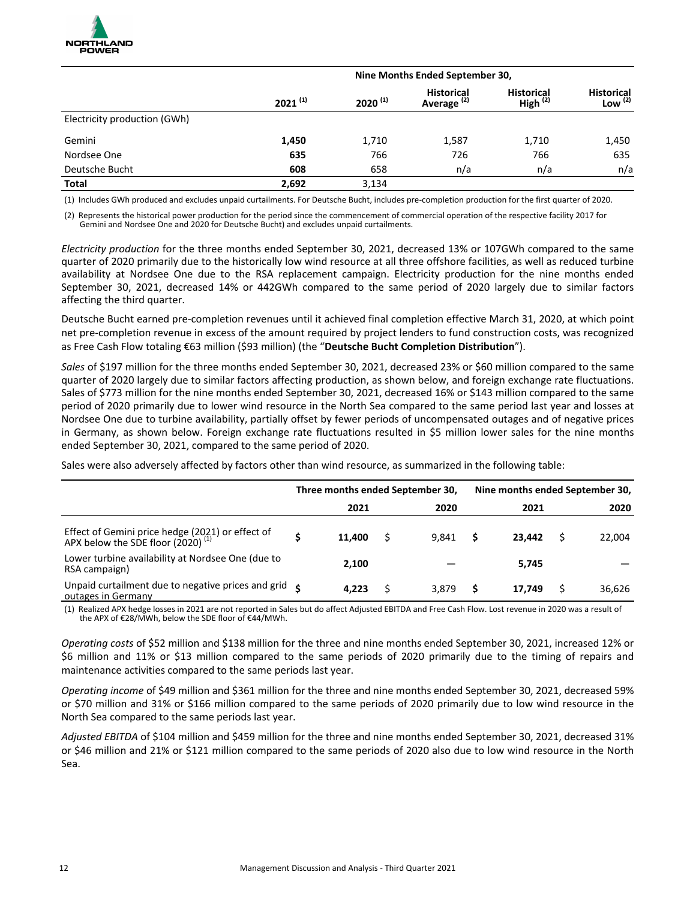

|                              | Nine Months Ended September 30, |              |                                             |                                    |                                   |  |  |  |  |  |
|------------------------------|---------------------------------|--------------|---------------------------------------------|------------------------------------|-----------------------------------|--|--|--|--|--|
|                              | $2021^{(1)}$                    | $2020^{(1)}$ | <b>Historical</b><br>Average <sup>(2)</sup> | <b>Historical</b><br>High $^{(2)}$ | <b>Historical</b><br>Low $^{(2)}$ |  |  |  |  |  |
| Electricity production (GWh) |                                 |              |                                             |                                    |                                   |  |  |  |  |  |
| Gemini                       | 1,450                           | 1,710        | 1,587                                       | 1,710                              | 1,450                             |  |  |  |  |  |
| Nordsee One                  | 635                             | 766          | 726                                         | 766                                | 635                               |  |  |  |  |  |
| Deutsche Bucht               | 608                             | 658          | n/a                                         | n/a                                | n/a                               |  |  |  |  |  |
| <b>Total</b>                 | 2,692                           | 3,134        |                                             |                                    |                                   |  |  |  |  |  |

(1) Includes GWh produced and excludes unpaid curtailments. For Deutsche Bucht, includes pre-completion production for the first quarter of 2020.

(2) Represents the historical power production for the period since the commencement of commercial operation of the respective facility 2017 for Gemini and Nordsee One and 2020 for Deutsche Bucht) and excludes unpaid curtailments.

*Electricity* production for the three months ended September 30, 2021, decreased 13% or 107GWh compared to the same quarter of 2020 primarily due to the historically low wind resource at all three offshore facilities, as well as reduced turbine availability at Nordsee One due to the RSA replacement campaign. Electricity production for the nine months ended September 30, 2021, decreased 14% or 442GWh compared to the same period of 2020 largely due to similar factors affecting the third quarter.

Deutsche Bucht earned pre-completion revenues until it achieved final completion effective March 31, 2020, at which point net pre-completion revenue in excess of the amount required by project lenders to fund construction costs, was recognized as Free Cash Flow totaling €63 million (\$93 million) (the "Deutsche Bucht Completion Distribution").

Sales of \$197 million for the three months ended September 30, 2021, decreased 23% or \$60 million compared to the same quarter of 2020 largely due to similar factors affecting production, as shown below, and foreign exchange rate fluctuations. Sales of \$773 million for the nine months ended September 30, 2021, decreased 16% or \$143 million compared to the same period of 2020 primarily due to lower wind resource in the North Sea compared to the same period last year and losses at Nordsee One due to turbine availability, partially offset by fewer periods of uncompensated outages and of negative prices in Germany, as shown below. Foreign exchange rate fluctuations resulted in \$5 million lower sales for the nine months ended September 30, 2021, compared to the same period of 2020.

Sales were also adversely affected by factors other than wind resource, as summarized in the following table:

|                                                                                                | Three months ended September 30, |        |  |       | Nine months ended September 30, |        |  |        |
|------------------------------------------------------------------------------------------------|----------------------------------|--------|--|-------|---------------------------------|--------|--|--------|
|                                                                                                |                                  | 2021   |  | 2020  |                                 | 2021   |  | 2020   |
| Effect of Gemini price hedge (2021) or effect of APX below the SDE floor (2020) <sup>(1)</sup> |                                  | 11.400 |  | 9.841 | S                               | 23.442 |  | 22,004 |
| Lower turbine availability at Nordsee One (due to<br>RSA campaign)                             |                                  | 2.100  |  |       |                                 | 5,745  |  |        |
| Unpaid curtailment due to negative prices and grid $\zeta$<br>outages in Germany               |                                  | 4.223  |  | 3.879 | S                               | 17.749 |  | 36,626 |

(1) Realized APX hedge losses in 2021 are not reported in Sales but do affect Adjusted EBITDA and Free Cash Flow. Lost revenue in 2020 was a result of the APX of €28/MWh, below the SDE floor of €44/MWh.

Operating costs of \$52 million and \$138 million for the three and nine months ended September 30, 2021, increased 12% or \$6 million and 11% or \$13 million compared to the same periods of 2020 primarily due to the timing of repairs and maintenance activities compared to the same periods last year.

*Operating income* of \$49 million and \$361 million for the three and nine months ended September 30, 2021, decreased 59% or \$70 million and 31% or \$166 million compared to the same periods of 2020 primarily due to low wind resource in the North Sea compared to the same periods last year.

Adjusted EBITDA of \$104 million and \$459 million for the three and nine months ended September 30, 2021, decreased 31% or \$46 million and 21% or \$121 million compared to the same periods of 2020 also due to low wind resource in the North Sea.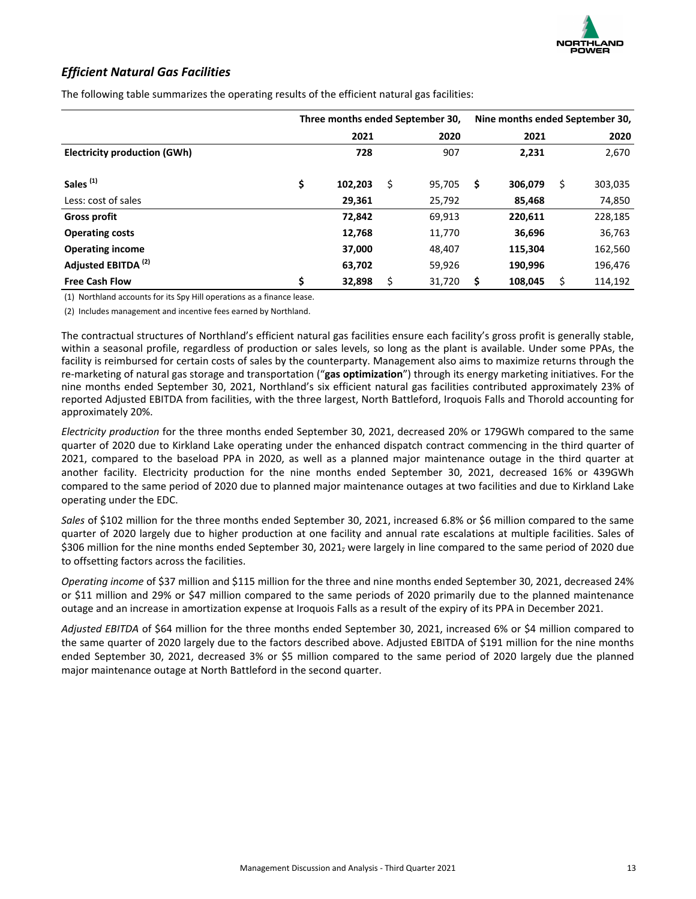### *Efficient Natural Gas Facilities*

|                                     | Three months ended September 30, |         |    |        |    | Nine months ended September 30, |    |         |  |
|-------------------------------------|----------------------------------|---------|----|--------|----|---------------------------------|----|---------|--|
|                                     |                                  | 2021    |    | 2020   |    | 2021                            |    | 2020    |  |
| <b>Electricity production (GWh)</b> |                                  | 728     |    | 907    |    | 2,231                           |    | 2,670   |  |
| Sales <sup>(1)</sup>                | \$                               | 102,203 | \$ | 95,705 | \$ | 306,079                         | \$ | 303,035 |  |
| Less: cost of sales                 |                                  | 29,361  |    | 25,792 |    | 85,468                          |    | 74,850  |  |
| <b>Gross profit</b>                 |                                  | 72,842  |    | 69,913 |    | 220,611                         |    | 228,185 |  |
| <b>Operating costs</b>              |                                  | 12,768  |    | 11,770 |    | 36,696                          |    | 36,763  |  |
| <b>Operating income</b>             |                                  | 37,000  |    | 48,407 |    | 115,304                         |    | 162,560 |  |
| Adjusted EBITDA <sup>(2)</sup>      |                                  | 63,702  |    | 59,926 |    | 190,996                         |    | 196,476 |  |
| <b>Free Cash Flow</b>               | \$                               | 32,898  | Ś  | 31,720 | \$ | 108,045                         |    | 114,192 |  |

The following table summarizes the operating results of the efficient natural gas facilities:

(1) Northland accounts for its Spy Hill operations as a finance lease.

(2) Includes management and incentive fees earned by Northland.

The contractual structures of Northland's efficient natural gas facilities ensure each facility's gross profit is generally stable, within a seasonal profile, regardless of production or sales levels, so long as the plant is available. Under some PPAs, the facility is reimbursed for certain costs of sales by the counterparty. Management also aims to maximize returns through the re-marketing of natural gas storage and transportation ("gas optimization") through its energy marketing initiatives. For the nine months ended September 30, 2021, Northland's six efficient natural gas facilities contributed approximately 23% of reported Adjusted EBITDA from facilities, with the three largest, North Battleford, Iroquois Falls and Thorold accounting for approximately 20%.

*Electricity* production for the three months ended September 30, 2021, decreased 20% or 179GWh compared to the same quarter of 2020 due to Kirkland Lake operating under the enhanced dispatch contract commencing in the third quarter of 2021, compared to the baseload PPA in 2020, as well as a planned major maintenance outage in the third quarter at another facility. Electricity production for the nine months ended September 30, 2021, decreased 16% or 439GWh compared to the same period of 2020 due to planned major maintenance outages at two facilities and due to Kirkland Lake operating under the EDC.

*Sales* of \$102 million for the three months ended September 30, 2021, increased 6.8% or \$6 million compared to the same quarter of 2020 largely due to higher production at one facility and annual rate escalations at multiple facilities. Sales of \$306 million for the nine months ended September 30, 2021, were largely in line compared to the same period of 2020 due to offsetting factors across the facilities.

*Operating income* of \$37 million and \$115 million for the three and nine months ended September 30, 2021, decreased 24% or \$11 million and 29% or \$47 million compared to the same periods of 2020 primarily due to the planned maintenance outage and an increase in amortization expense at Iroquois Falls as a result of the expiry of its PPA in December 2021.

Adjusted EBITDA of \$64 million for the three months ended September 30, 2021, increased 6% or \$4 million compared to the same quarter of 2020 largely due to the factors described above. Adjusted EBITDA of \$191 million for the nine months ended September 30, 2021, decreased 3% or \$5 million compared to the same period of 2020 largely due the planned major maintenance outage at North Battleford in the second quarter.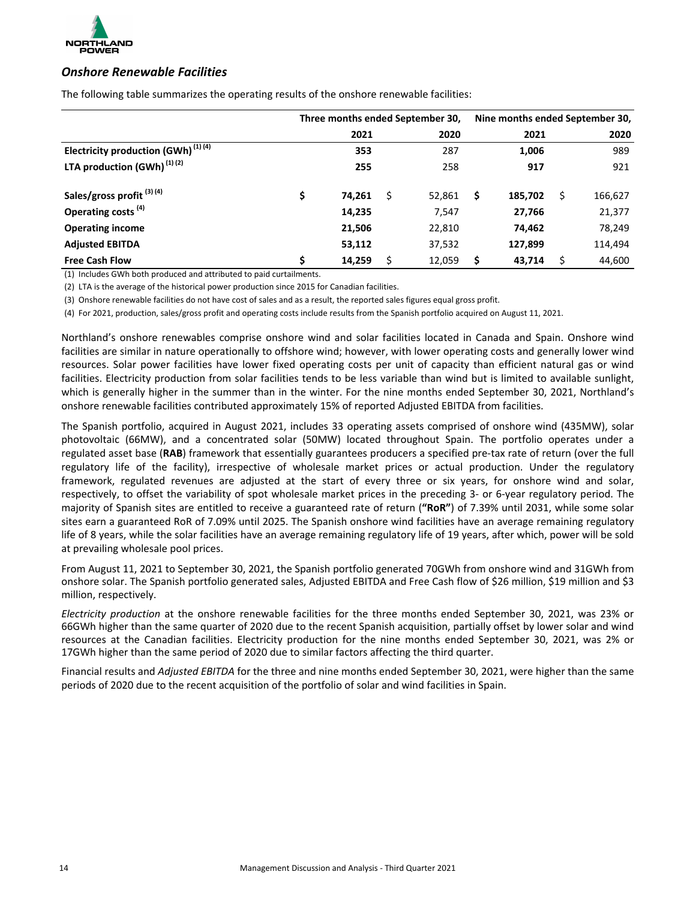

### *Onshore Renewable Facilities*

The following table summarizes the operating results of the onshore renewable facilities:

|                                                | Three months ended September 30, |        |  |        | Nine months ended September 30, |         |   |         |
|------------------------------------------------|----------------------------------|--------|--|--------|---------------------------------|---------|---|---------|
|                                                |                                  | 2021   |  | 2020   |                                 | 2021    |   | 2020    |
| Electricity production (GWh) <sup>(1)(4)</sup> |                                  | 353    |  | 287    |                                 | 1,006   |   | 989     |
| LTA production $(GWh)^{(1)(2)}$                |                                  | 255    |  | 258    |                                 | 917     |   | 921     |
| Sales/gross profit <sup>(3)(4)</sup>           | \$                               | 74,261 |  | 52,861 | \$                              | 185,702 | Ś | 166,627 |
| Operating costs <sup>(4)</sup>                 |                                  | 14,235 |  | 7,547  |                                 | 27,766  |   | 21,377  |
| <b>Operating income</b>                        |                                  | 21,506 |  | 22,810 |                                 | 74,462  |   | 78,249  |
| <b>Adjusted EBITDA</b>                         |                                  | 53,112 |  | 37,532 |                                 | 127,899 |   | 114,494 |
| <b>Free Cash Flow</b>                          | \$                               | 14,259 |  | 12,059 | \$                              | 43.714  |   | 44,600  |

(1) Includes GWh both produced and attributed to paid curtailments.

(2) LTA is the average of the historical power production since 2015 for Canadian facilities.

(3) Onshore renewable facilities do not have cost of sales and as a result, the reported sales figures equal gross profit.

(4) For 2021, production, sales/gross profit and operating costs include results from the Spanish portfolio acquired on August 11, 2021.

Northland's onshore renewables comprise onshore wind and solar facilities located in Canada and Spain. Onshore wind facilities are similar in nature operationally to offshore wind; however, with lower operating costs and generally lower wind resources. Solar power facilities have lower fixed operating costs per unit of capacity than efficient natural gas or wind facilities. Electricity production from solar facilities tends to be less variable than wind but is limited to available sunlight, which is generally higher in the summer than in the winter. For the nine months ended September 30, 2021, Northland's onshore renewable facilities contributed approximately 15% of reported Adjusted EBITDA from facilities.

The Spanish portfolio, acquired in August 2021, includes 33 operating assets comprised of onshore wind (435MW), solar photovoltaic (66MW), and a concentrated solar (50MW) located throughout Spain. The portfolio operates under a regulated asset base (RAB) framework that essentially guarantees producers a specified pre-tax rate of return (over the full regulatory life of the facility), irrespective of wholesale market prices or actual production. Under the regulatory framework, regulated revenues are adjusted at the start of every three or six years, for onshore wind and solar, respectively, to offset the variability of spot wholesale market prices in the preceding 3- or 6-year regulatory period. The majority of Spanish sites are entitled to receive a guaranteed rate of return ("RoR") of 7.39% until 2031, while some solar sites earn a guaranteed RoR of 7.09% until 2025. The Spanish onshore wind facilities have an average remaining regulatory life of 8 years, while the solar facilities have an average remaining regulatory life of 19 years, after which, power will be sold at prevailing wholesale pool prices.

From August 11, 2021 to September 30, 2021, the Spanish portfolio generated 70GWh from onshore wind and 31GWh from onshore solar. The Spanish portfolio generated sales, Adjusted EBITDA and Free Cash flow of \$26 million, \$19 million and \$3 million, respectively.

*Electricity production* at the onshore renewable facilities for the three months ended September 30, 2021, was 23% or 66GWh higher than the same quarter of 2020 due to the recent Spanish acquisition, partially offset by lower solar and wind resources at the Canadian facilities. Electricity production for the nine months ended September 30, 2021, was 2% or 17GWh higher than the same period of 2020 due to similar factors affecting the third quarter.

Financial results and *Adjusted EBITDA* for the three and nine months ended September 30, 2021, were higher than the same periods of 2020 due to the recent acquisition of the portfolio of solar and wind facilities in Spain.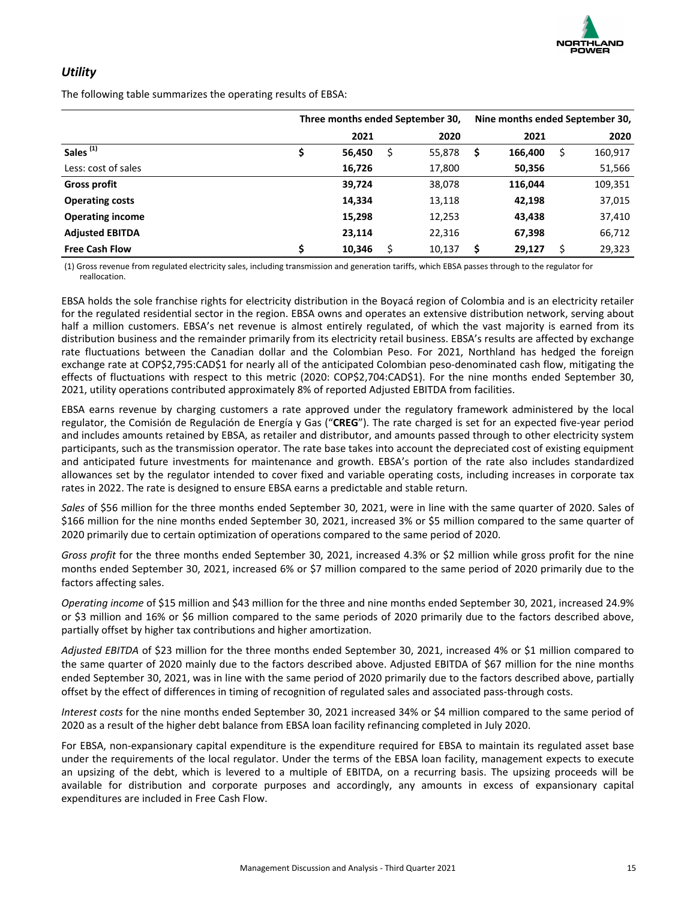

### *Utility*

The following table summarizes the operating results of EBSA:

|                         | Three months ended September 30, |        |    |        |    | Nine months ended September 30, |  |         |  |
|-------------------------|----------------------------------|--------|----|--------|----|---------------------------------|--|---------|--|
|                         |                                  | 2021   |    | 2020   |    | 2021                            |  | 2020    |  |
| Sales <sup>(1)</sup>    |                                  | 56,450 | \$ | 55,878 | \$ | 166,400                         |  | 160,917 |  |
| Less: cost of sales     |                                  | 16,726 |    | 17,800 |    | 50,356                          |  | 51,566  |  |
| <b>Gross profit</b>     |                                  | 39,724 |    | 38,078 |    | 116,044                         |  | 109,351 |  |
| <b>Operating costs</b>  |                                  | 14,334 |    | 13,118 |    | 42,198                          |  | 37,015  |  |
| <b>Operating income</b> |                                  | 15,298 |    | 12,253 |    | 43,438                          |  | 37,410  |  |
| <b>Adjusted EBITDA</b>  |                                  | 23,114 |    | 22,316 |    | 67,398                          |  | 66,712  |  |
| <b>Free Cash Flow</b>   | \$                               | 10,346 |    | 10,137 | \$ | 29,127                          |  | 29,323  |  |

(1) Gross revenue from regulated electricity sales, including transmission and generation tariffs, which EBSA passes through to the regulator for reallocation.

EBSA holds the sole franchise rights for electricity distribution in the Boyacá region of Colombia and is an electricity retailer for the regulated residential sector in the region. EBSA owns and operates an extensive distribution network, serving about half a million customers. EBSA's net revenue is almost entirely regulated, of which the vast majority is earned from its distribution business and the remainder primarily from its electricity retail business. EBSA's results are affected by exchange rate fluctuations between the Canadian dollar and the Colombian Peso. For 2021, Northland has hedged the foreign exchange rate at COP\$2,795:CAD\$1 for nearly all of the anticipated Colombian peso-denominated cash flow, mitigating the effects of fluctuations with respect to this metric (2020: COP\$2,704:CAD\$1). For the nine months ended September 30, 2021, utility operations contributed approximately 8% of reported Adjusted EBITDA from facilities.

EBSA earns revenue by charging customers a rate approved under the regulatory framework administered by the local regulator, the Comisión de Regulación de Energía y Gas ("CREG"). The rate charged is set for an expected five-year period and includes amounts retained by EBSA, as retailer and distributor, and amounts passed through to other electricity system participants, such as the transmission operator. The rate base takes into account the depreciated cost of existing equipment and anticipated future investments for maintenance and growth. EBSA's portion of the rate also includes standardized allowances set by the regulator intended to cover fixed and variable operating costs, including increases in corporate tax rates in 2022. The rate is designed to ensure EBSA earns a predictable and stable return.

*Sales* of \$56 million for the three months ended September 30, 2021, were in line with the same quarter of 2020. Sales of \$166 million for the nine months ended September 30, 2021, increased 3% or \$5 million compared to the same quarter of 2020 primarily due to certain optimization of operations compared to the same period of 2020.

*Gross profit* for the three months ended September 30, 2021, increased 4.3% or \$2 million while gross profit for the nine months ended September 30, 2021, increased 6% or \$7 million compared to the same period of 2020 primarily due to the factors affecting sales.

*Operating income* of \$15 million and \$43 million for the three and nine months ended September 30, 2021, increased 24.9% or \$3 million and 16% or \$6 million compared to the same periods of 2020 primarily due to the factors described above, partially offset by higher tax contributions and higher amortization.

Adjusted EBITDA of \$23 million for the three months ended September 30, 2021, increased 4% or \$1 million compared to the same quarter of 2020 mainly due to the factors described above. Adjusted EBITDA of \$67 million for the nine months ended September 30, 2021, was in line with the same period of 2020 primarily due to the factors described above, partially offset by the effect of differences in timing of recognition of regulated sales and associated pass-through costs.

*Interest costs* for the nine months ended September 30, 2021 increased 34% or \$4 million compared to the same period of 2020 as a result of the higher debt balance from EBSA loan facility refinancing completed in July 2020.

For EBSA, non-expansionary capital expenditure is the expenditure required for EBSA to maintain its regulated asset base under the requirements of the local regulator. Under the terms of the EBSA loan facility, management expects to execute an upsizing of the debt, which is levered to a multiple of EBITDA, on a recurring basis. The upsizing proceeds will be available for distribution and corporate purposes and accordingly, any amounts in excess of expansionary capital expenditures are included in Free Cash Flow.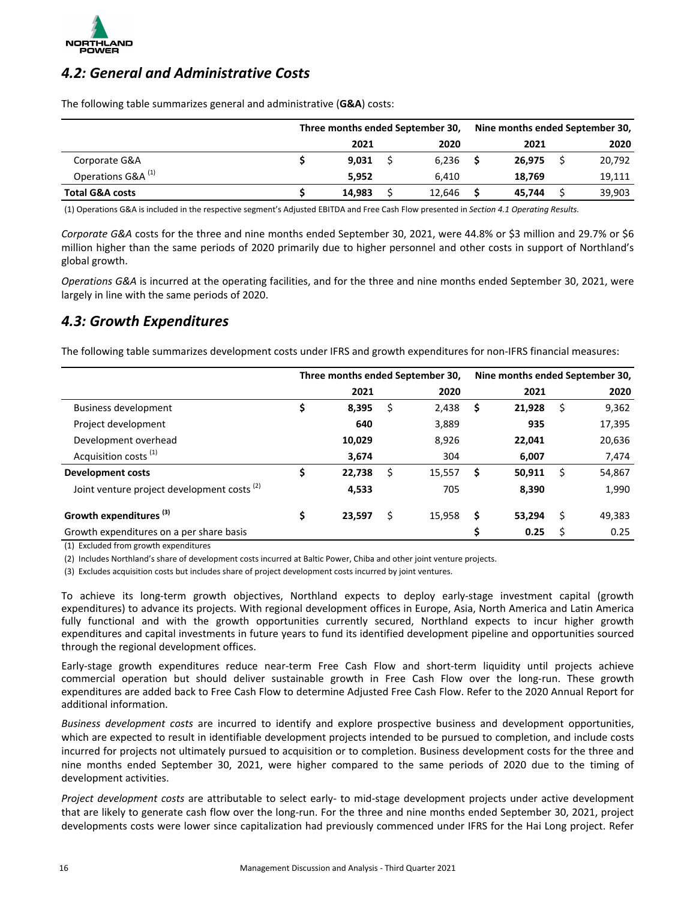<span id="page-15-0"></span>

### **4.2: General and Administrative Costs**

The following table summarizes general and administrative (G&A) costs:

|                               | Three months ended September 30, |  |        |  | Nine months ended September 30, |  |        |  |
|-------------------------------|----------------------------------|--|--------|--|---------------------------------|--|--------|--|
|                               | 2021                             |  | 2020   |  | 2021                            |  | 2020   |  |
| Corporate G&A                 | 9.031                            |  | 6.236  |  | 26.975                          |  | 20,792 |  |
| Operations G&A <sup>(1)</sup> | 5.952                            |  | 6.410  |  | 18.769                          |  | 19,111 |  |
| <b>Total G&amp;A costs</b>    | 14,983                           |  | 12,646 |  | 45.744                          |  | 39,903 |  |

(1) Operations G&A is included in the respective segment's Adjusted EBITDA and Free Cash Flow presented in *Section 4.1 Operating Results.* 

*Corporate G&A* costs for the three and nine months ended September 30, 2021, were 44.8% or \$3 million and 29.7% or \$6 million higher than the same periods of 2020 primarily due to higher personnel and other costs in support of Northland's global growth.

*Operations* G&A is incurred at the operating facilities, and for the three and nine months ended September 30, 2021, were largely in line with the same periods of 2020.

### *4.3: Growth Expenditures*

The following table summarizes development costs under IFRS and growth expenditures for non-IFRS financial measures:

|                                                        |              |    | Three months ended September 30, | Nine months ended September 30, |        |    |        |  |
|--------------------------------------------------------|--------------|----|----------------------------------|---------------------------------|--------|----|--------|--|
|                                                        | 2021         |    | 2020                             |                                 | 2021   |    | 2020   |  |
| Business development                                   | \$<br>8,395  | \$ | 2,438                            | \$                              | 21,928 | \$ | 9,362  |  |
| Project development                                    | 640          |    | 3,889                            |                                 | 935    |    | 17,395 |  |
| Development overhead                                   | 10,029       |    | 8,926                            |                                 | 22,041 |    | 20,636 |  |
| Acquisition costs <sup>(1)</sup>                       | 3,674        |    | 304                              |                                 | 6,007  |    | 7,474  |  |
| <b>Development costs</b>                               | \$<br>22,738 | Ś  | 15,557                           | \$                              | 50,911 | S  | 54,867 |  |
| Joint venture project development costs <sup>(2)</sup> | 4,533        |    | 705                              |                                 | 8,390  |    | 1,990  |  |
| Growth expenditures <sup>(3)</sup>                     | \$<br>23,597 | Ś  | 15,958                           | \$                              | 53.294 | S  | 49,383 |  |
| Growth expenditures on a per share basis               |              |    |                                  | \$                              | 0.25   |    | 0.25   |  |

 $(1)$  Excluded from growth expenditures

(2) Includes Northland's share of development costs incurred at Baltic Power, Chiba and other joint venture projects.

(3) Excludes acquisition costs but includes share of project development costs incurred by joint ventures.

To achieve its long-term growth objectives, Northland expects to deploy early-stage investment capital (growth expenditures) to advance its projects. With regional development offices in Europe, Asia, North America and Latin America fully functional and with the growth opportunities currently secured, Northland expects to incur higher growth expenditures and capital investments in future years to fund its identified development pipeline and opportunities sourced through the regional development offices.

Early-stage growth expenditures reduce near-term Free Cash Flow and short-term liquidity until projects achieve commercial operation but should deliver sustainable growth in Free Cash Flow over the long-run. These growth expenditures are added back to Free Cash Flow to determine Adjusted Free Cash Flow. Refer to the 2020 Annual Report for additional information.

*Business development costs* are incurred to identify and explore prospective business and development opportunities, which are expected to result in identifiable development projects intended to be pursued to completion, and include costs incurred for projects not ultimately pursued to acquisition or to completion. Business development costs for the three and nine months ended September 30, 2021, were higher compared to the same periods of 2020 due to the timing of development activities.

*Project development costs* are attributable to select early- to mid-stage development projects under active development that are likely to generate cash flow over the long-run. For the three and nine months ended September 30, 2021, project developments costs were lower since capitalization had previously commenced under IFRS for the Hai Long project. Refer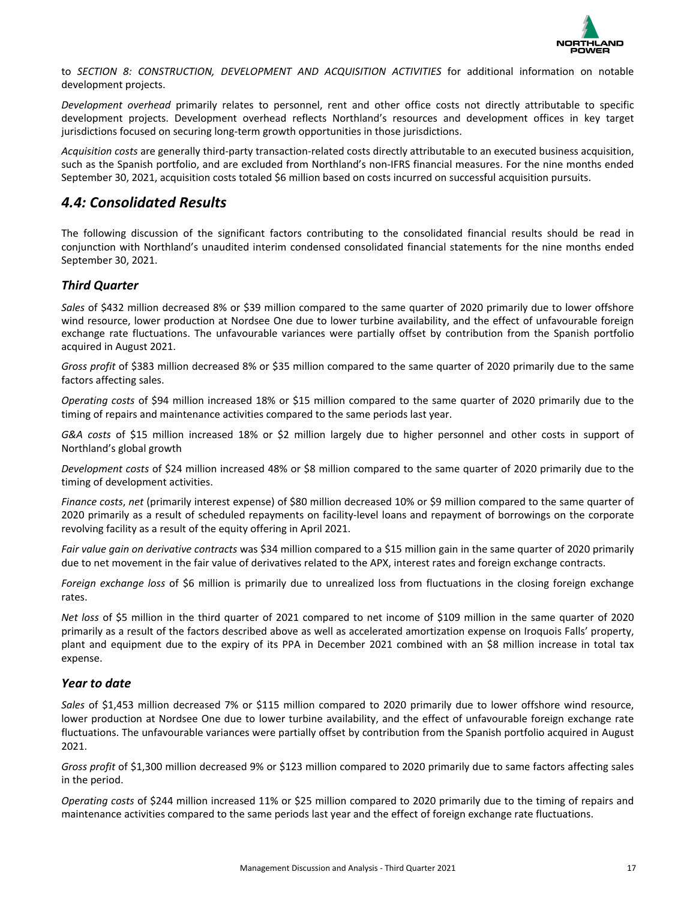

<span id="page-16-0"></span>to SECTION 8: CONSTRUCTION, DEVELOPMENT AND ACQUISITION ACTIVITIES for additional information on notable development projects.

Development overhead primarily relates to personnel, rent and other office costs not directly attributable to specific development projects. Development overhead reflects Northland's resources and development offices in key target jurisdictions focused on securing long-term growth opportunities in those jurisdictions.

Acquisition costs are generally third-party transaction-related costs directly attributable to an executed business acquisition, such as the Spanish portfolio, and are excluded from Northland's non-IFRS financial measures. For the nine months ended September 30, 2021, acquisition costs totaled \$6 million based on costs incurred on successful acquisition pursuits.

### *4.4: Consolidated Results*

The following discussion of the significant factors contributing to the consolidated financial results should be read in conjunction with Northland's unaudited interim condensed consolidated financial statements for the nine months ended September 30, 2021.

### *Third Quarter*

Sales of \$432 million decreased 8% or \$39 million compared to the same quarter of 2020 primarily due to lower offshore wind resource, lower production at Nordsee One due to lower turbine availability, and the effect of unfavourable foreign exchange rate fluctuations. The unfavourable variances were partially offset by contribution from the Spanish portfolio acquired in August 2021.

*Gross profit* of \$383 million decreased 8% or \$35 million compared to the same quarter of 2020 primarily due to the same factors affecting sales.

*Operating costs* of \$94 million increased 18% or \$15 million compared to the same quarter of 2020 primarily due to the timing of repairs and maintenance activities compared to the same periods last year.

G&A costs of \$15 million increased 18% or \$2 million largely due to higher personnel and other costs in support of Northland's global growth

*Development costs* of \$24 million increased 48% or \$8 million compared to the same quarter of 2020 primarily due to the timing of development activities.

*Finance costs, net* (primarily interest expense) of \$80 million decreased 10% or \$9 million compared to the same quarter of 2020 primarily as a result of scheduled repayments on facility-level loans and repayment of borrowings on the corporate revolving facility as a result of the equity offering in April 2021.

Fair value gain on derivative contracts was \$34 million compared to a \$15 million gain in the same quarter of 2020 primarily due to net movement in the fair value of derivatives related to the APX, interest rates and foreign exchange contracts.

*Foreign exchange loss* of \$6 million is primarily due to unrealized loss from fluctuations in the closing foreign exchange rates.

*Net loss* of \$5 million in the third quarter of 2021 compared to net income of \$109 million in the same quarter of 2020 primarily as a result of the factors described above as well as accelerated amortization expense on Iroquois Falls' property, plant and equipment due to the expiry of its PPA in December 2021 combined with an \$8 million increase in total tax expense.

### *Year to date*

Sales of \$1,453 million decreased 7% or \$115 million compared to 2020 primarily due to lower offshore wind resource, lower production at Nordsee One due to lower turbine availability, and the effect of unfavourable foreign exchange rate fluctuations. The unfavourable variances were partially offset by contribution from the Spanish portfolio acquired in August 2021.

*Gross profit* of \$1,300 million decreased 9% or \$123 million compared to 2020 primarily due to same factors affecting sales in the period.

*Operating costs* of \$244 million increased 11% or \$25 million compared to 2020 primarily due to the timing of repairs and maintenance activities compared to the same periods last year and the effect of foreign exchange rate fluctuations.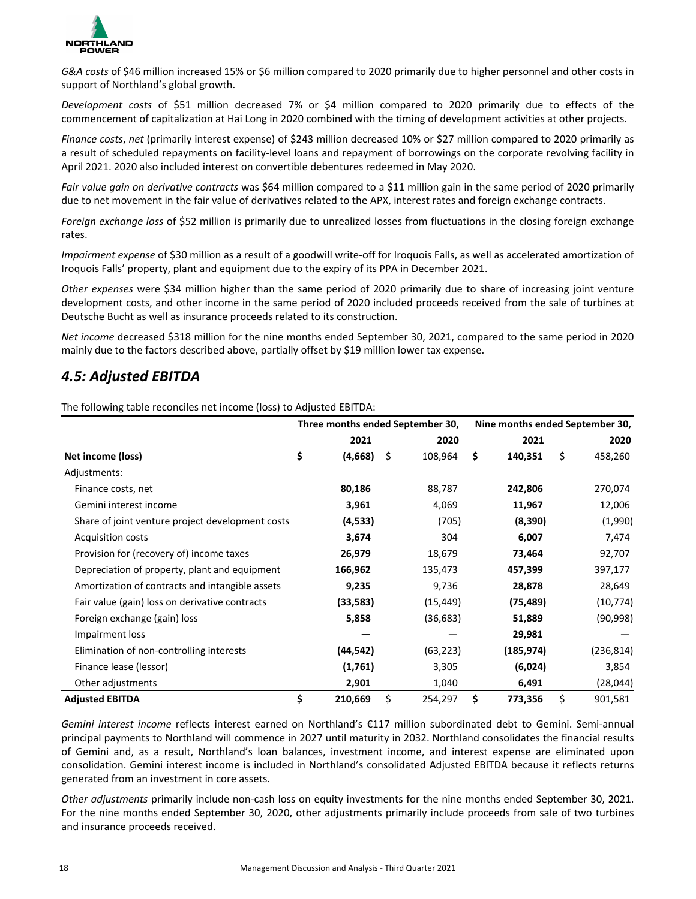<span id="page-17-0"></span>

G&A costs of \$46 million increased 15% or \$6 million compared to 2020 primarily due to higher personnel and other costs in support of Northland's global growth.

*Development costs*  of \$51 million decreased 7% or \$4 million compared to 2020 primarily due to effects of the commencement of capitalization at Hai Long in 2020 combined with the timing of development activities at other projects.

*Finance costs, net* (primarily interest expense) of \$243 million decreased 10% or \$27 million compared to 2020 primarily as a result of scheduled repayments on facility-level loans and repayment of borrowings on the corporate revolving facility in April 2021. 2020 also included interest on convertible debentures redeemed in May 2020.

Fair value gain on derivative contracts was \$64 million compared to a \$11 million gain in the same period of 2020 primarily due to net movement in the fair value of derivatives related to the APX, interest rates and foreign exchange contracts.

*Foreign exchange loss* of \$52 million is primarily due to unrealized losses from fluctuations in the closing foreign exchange rates.

*Impairment expense* of \$30 million as a result of a goodwill write-off for Iroquois Falls, as well as accelerated amortization of Iroquois Falls' property, plant and equipment due to the expiry of its PPA in December 2021.

*Other* expenses were \$34 million higher than the same period of 2020 primarily due to share of increasing joint venture development costs, and other income in the same period of 2020 included proceeds received from the sale of turbines at Deutsche Bucht as well as insurance proceeds related to its construction.

*Net income* decreased \$318 million for the nine months ended September 30, 2021, compared to the same period in 2020 mainly due to the factors described above, partially offset by \$19 million lower tax expense.

### *4.5: Adjusted EBITDA*

The following table reconciles net income (loss) to Adjusted EBITDA:

|                                                  | Three months ended September 30, |    |           | Nine months ended September 30, |            |    |            |
|--------------------------------------------------|----------------------------------|----|-----------|---------------------------------|------------|----|------------|
|                                                  | 2021                             |    | 2020      |                                 | 2021       |    | 2020       |
| Net income (loss)                                | \$<br>(4,668)                    | \$ | 108,964   | \$                              | 140,351    | \$ | 458,260    |
| Adjustments:                                     |                                  |    |           |                                 |            |    |            |
| Finance costs, net                               | 80,186                           |    | 88,787    |                                 | 242,806    |    | 270,074    |
| Gemini interest income                           | 3,961                            |    | 4,069     |                                 | 11,967     |    | 12,006     |
| Share of joint venture project development costs | (4, 533)                         |    | (705)     |                                 | (8,390)    |    | (1,990)    |
| <b>Acquisition costs</b>                         | 3,674                            |    | 304       |                                 | 6,007      |    | 7,474      |
| Provision for (recovery of) income taxes         | 26,979                           |    | 18,679    |                                 | 73,464     |    | 92,707     |
| Depreciation of property, plant and equipment    | 166,962                          |    | 135,473   |                                 | 457,399    |    | 397,177    |
| Amortization of contracts and intangible assets  | 9,235                            |    | 9,736     |                                 | 28,878     |    | 28,649     |
| Fair value (gain) loss on derivative contracts   | (33, 583)                        |    | (15, 449) |                                 | (75, 489)  |    | (10, 774)  |
| Foreign exchange (gain) loss                     | 5,858                            |    | (36, 683) |                                 | 51,889     |    | (90, 998)  |
| Impairment loss                                  |                                  |    |           |                                 | 29,981     |    |            |
| Elimination of non-controlling interests         | (44, 542)                        |    | (63, 223) |                                 | (185, 974) |    | (236, 814) |
| Finance lease (lessor)                           | (1,761)                          |    | 3,305     |                                 | (6,024)    |    | 3,854      |
| Other adjustments                                | 2,901                            |    | 1,040     |                                 | 6,491      |    | (28, 044)  |
| <b>Adjusted EBITDA</b>                           | \$<br>210,669                    | \$ | 254,297   | \$                              | 773,356    | \$ | 901,581    |

*Gemini interest income* reflects interest earned on Northland's €117 million subordinated debt to Gemini. Semi-annual principal payments to Northland will commence in 2027 until maturity in 2032. Northland consolidates the financial results of Gemini and, as a result, Northland's loan balances, investment income, and interest expense are eliminated upon consolidation. Gemini interest income is included in Northland's consolidated Adjusted EBITDA because it reflects returns generated from an investment in core assets.

*Other adjustments* primarily include non-cash loss on equity investments for the nine months ended September 30, 2021. For the nine months ended September 30, 2020, other adjustments primarily include proceeds from sale of two turbines and insurance proceeds received.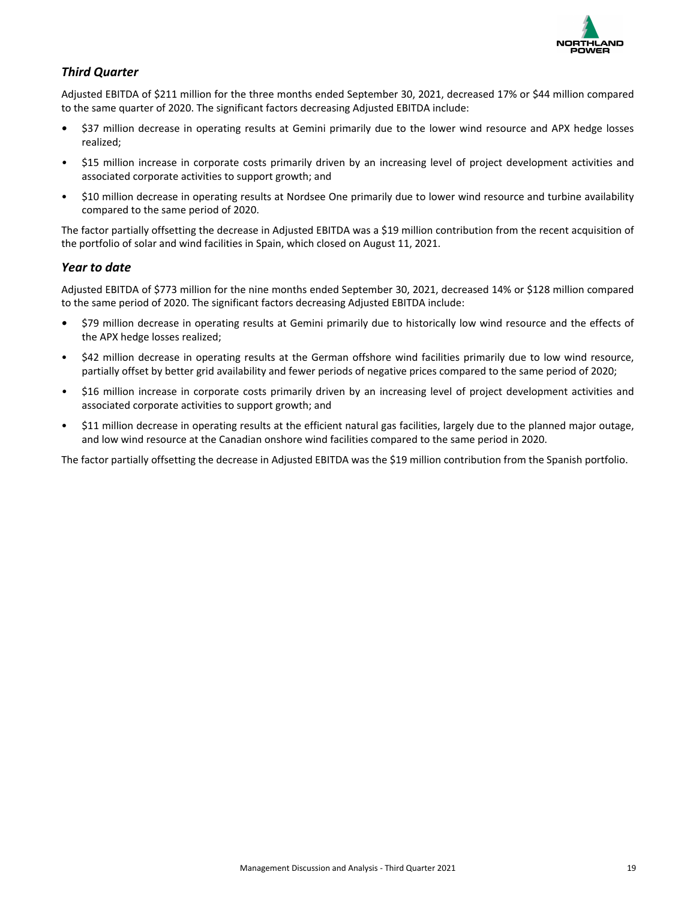

### *Third Quarter*

Adjusted EBITDA of \$211 million for the three months ended September 30, 2021, decreased 17% or \$44 million compared to the same quarter of 2020. The significant factors decreasing Adjusted EBITDA include:

- \$37 million decrease in operating results at Gemini primarily due to the lower wind resource and APX hedge losses realized;
- \$15 million increase in corporate costs primarily driven by an increasing level of project development activities and associated corporate activities to support growth; and
- \$10 million decrease in operating results at Nordsee One primarily due to lower wind resource and turbine availability compared to the same period of 2020.

The factor partially offsetting the decrease in Adjusted EBITDA was a \$19 million contribution from the recent acquisition of the portfolio of solar and wind facilities in Spain, which closed on August 11, 2021.

### *Year to date*

Adjusted EBITDA of \$773 million for the nine months ended September 30, 2021, decreased 14% or \$128 million compared to the same period of 2020. The significant factors decreasing Adjusted EBITDA include:

- \$79 million decrease in operating results at Gemini primarily due to historically low wind resource and the effects of the APX hedge losses realized;
- \$42 million decrease in operating results at the German offshore wind facilities primarily due to low wind resource, partially offset by better grid availability and fewer periods of negative prices compared to the same period of 2020;
- \$16 million increase in corporate costs primarily driven by an increasing level of project development activities and associated corporate activities to support growth; and
- \$11 million decrease in operating results at the efficient natural gas facilities, largely due to the planned major outage, and low wind resource at the Canadian onshore wind facilities compared to the same period in 2020.

The factor partially offsetting the decrease in Adjusted EBITDA was the \$19 million contribution from the Spanish portfolio.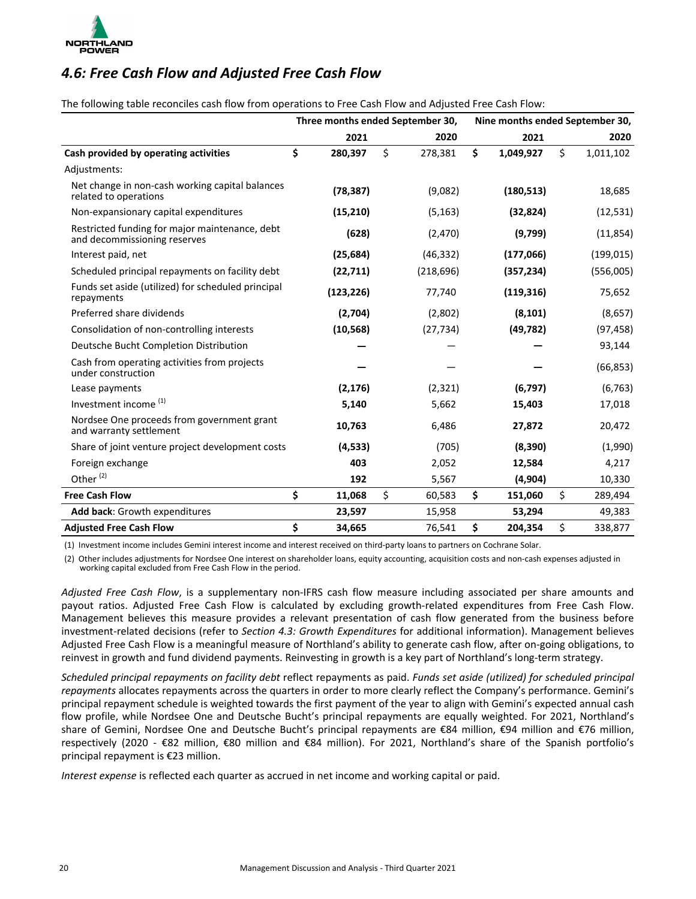<span id="page-19-0"></span>

### *4.6: Free Cash Flow and Adjusted Free Cash Flow*

The following table reconciles cash flow from operations to Free Cash Flow and Adjusted Free Cash Flow:

|                                                                                |               | Three months ended September 30, | Nine months ended September 30, |                 |
|--------------------------------------------------------------------------------|---------------|----------------------------------|---------------------------------|-----------------|
|                                                                                | 2021          | 2020                             | 2021                            | 2020            |
| Cash provided by operating activities                                          | \$<br>280,397 | \$<br>278,381                    | \$<br>1,049,927                 | \$<br>1,011,102 |
| Adjustments:                                                                   |               |                                  |                                 |                 |
| Net change in non-cash working capital balances<br>related to operations       | (78, 387)     | (9,082)                          | (180, 513)                      | 18,685          |
| Non-expansionary capital expenditures                                          | (15, 210)     | (5, 163)                         | (32, 824)                       | (12, 531)       |
| Restricted funding for major maintenance, debt<br>and decommissioning reserves | (628)         | (2,470)                          | (9,799)                         | (11, 854)       |
| Interest paid, net                                                             | (25, 684)     | (46, 332)                        | (177,066)                       | (199, 015)      |
| Scheduled principal repayments on facility debt                                | (22, 711)     | (218, 696)                       | (357, 234)                      | (556,005)       |
| Funds set aside (utilized) for scheduled principal<br>repayments               | (123, 226)    | 77,740                           | (119, 316)                      | 75,652          |
| Preferred share dividends                                                      | (2,704)       | (2,802)                          | (8, 101)                        | (8,657)         |
| Consolidation of non-controlling interests                                     | (10, 568)     | (27, 734)                        | (49, 782)                       | (97, 458)       |
| Deutsche Bucht Completion Distribution                                         |               |                                  |                                 | 93,144          |
| Cash from operating activities from projects<br>under construction             |               |                                  |                                 | (66, 853)       |
| Lease payments                                                                 | (2, 176)      | (2, 321)                         | (6, 797)                        | (6, 763)        |
| Investment income <sup>(1)</sup>                                               | 5,140         | 5,662                            | 15,403                          | 17,018          |
| Nordsee One proceeds from government grant<br>and warranty settlement          | 10,763        | 6,486                            | 27,872                          | 20,472          |
| Share of joint venture project development costs                               | (4,533)       | (705)                            | (8,390)                         | (1,990)         |
| Foreign exchange                                                               | 403           | 2,052                            | 12,584                          | 4,217           |
| Other <sup>(2)</sup>                                                           | 192           | 5,567                            | (4,904)                         | 10,330          |
| <b>Free Cash Flow</b>                                                          | \$<br>11,068  | \$<br>60,583                     | \$<br>151,060                   | \$<br>289,494   |
| Add back: Growth expenditures                                                  | 23,597        | 15,958                           | 53,294                          | 49,383          |
| <b>Adjusted Free Cash Flow</b>                                                 | \$<br>34,665  | 76,541                           | \$<br>204,354                   | \$<br>338,877   |

(1) Investment income includes Gemini interest income and interest received on third-party loans to partners on Cochrane Solar.

(2) Other includes adjustments for Nordsee One interest on shareholder loans, equity accounting, acquisition costs and non-cash expenses adjusted in working capital excluded from Free Cash Flow in the period.

Adjusted Free Cash Flow, is a supplementary non-IFRS cash flow measure including associated per share amounts and payout ratios. Adjusted Free Cash Flow is calculated by excluding growth-related expenditures from Free Cash Flow. Management believes this measure provides a relevant presentation of cash flow generated from the business before investment-related decisions (refer to Section 4.3: Growth Expenditures for additional information). Management believes Adjusted Free Cash Flow is a meaningful measure of Northland's ability to generate cash flow, after on-going obligations, to reinvest in growth and fund dividend payments. Reinvesting in growth is a key part of Northland's long-term strategy.

Scheduled principal repayments on facility debt reflect repayments as paid. Funds set aside (utilized) for scheduled principal repayments allocates repayments across the quarters in order to more clearly reflect the Company's performance. Gemini's principal repayment schedule is weighted towards the first payment of the year to align with Gemini's expected annual cash flow profile, while Nordsee One and Deutsche Bucht's principal repayments are equally weighted. For 2021, Northland's share of Gemini, Nordsee One and Deutsche Bucht's principal repayments are €84 million, €94 million and €76 million, respectively (2020 -  $\epsilon$ 82 million,  $\epsilon$ 80 million and  $\epsilon$ 84 million). For 2021, Northland's share of the Spanish portfolio's principal repayment is €23 million.

*Interest expense* is reflected each quarter as accrued in net income and working capital or paid.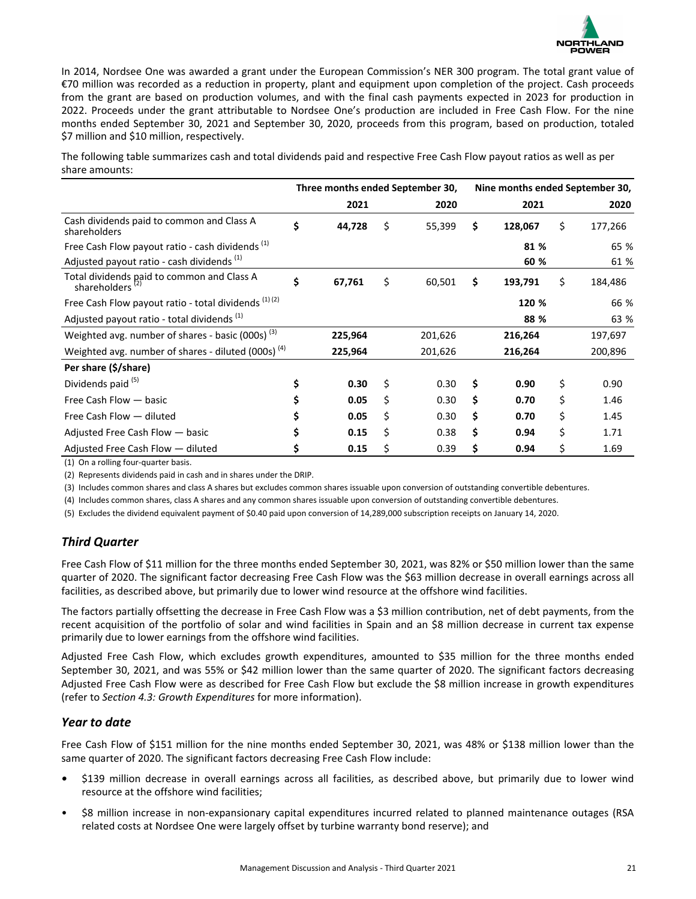

In 2014, Nordsee One was awarded a grant under the European Commission's NER 300 program. The total grant value of €70 million was recorded as a reduction in property, plant and equipment upon completion of the project. Cash proceeds from the grant are based on production volumes, and with the final cash payments expected in 2023 for production in 2022. Proceeds under the grant attributable to Nordsee One's production are included in Free Cash Flow. For the nine months ended September 30, 2021 and September 30, 2020, proceeds from this program, based on production, totaled \$7 million and \$10 million, respectively.

The following table summarizes cash and total dividends paid and respective Free Cash Flow payout ratios as well as per share amounts:

|                                                                           | Three months ended September 30, |              | Nine months ended September 30, |         |    |         |  |
|---------------------------------------------------------------------------|----------------------------------|--------------|---------------------------------|---------|----|---------|--|
|                                                                           | 2021                             | 2020         |                                 | 2021    |    | 2020    |  |
| Cash dividends paid to common and Class A<br>shareholders                 | \$<br>44,728                     | \$<br>55,399 | \$                              | 128,067 | \$ | 177,266 |  |
| Free Cash Flow payout ratio - cash dividends <sup>(1)</sup>               |                                  |              |                                 | 81 %    |    | 65 %    |  |
| Adjusted payout ratio - cash dividends (1)                                |                                  |              |                                 | 60 %    |    | 61 %    |  |
| Total dividends paid to common and Class A<br>shareholders <sup>(2)</sup> | \$<br>67,761                     | \$<br>60,501 | \$                              | 193,791 | \$ | 184,486 |  |
| Free Cash Flow payout ratio - total dividends (1) (2)                     |                                  |              |                                 | 120 %   |    | 66 %    |  |
| Adjusted payout ratio - total dividends <sup>(1)</sup>                    |                                  |              |                                 | 88 %    |    | 63 %    |  |
| Weighted avg. number of shares - basic (000s) <sup>(3)</sup>              | 225,964                          | 201,626      |                                 | 216,264 |    | 197,697 |  |
| Weighted avg. number of shares - diluted $(000s)$ <sup>(4)</sup>          | 225,964                          | 201,626      |                                 | 216,264 |    | 200,896 |  |
| Per share (\$/share)                                                      |                                  |              |                                 |         |    |         |  |
| Dividends paid <sup>(5)</sup>                                             | \$<br>0.30                       | \$<br>0.30   | Ś                               | 0.90    | \$ | 0.90    |  |
| Free Cash Flow - basic                                                    | \$<br>0.05                       | \$<br>0.30   | \$                              | 0.70    | \$ | 1.46    |  |
| Free Cash Flow - diluted                                                  | \$<br>0.05                       | \$<br>0.30   | \$                              | 0.70    | \$ | 1.45    |  |
| Adjusted Free Cash Flow - basic                                           | \$<br>0.15                       | \$<br>0.38   | \$                              | 0.94    | \$ | 1.71    |  |
| Adjusted Free Cash Flow - diluted                                         | \$<br>0.15                       | \$<br>0.39   | \$                              | 0.94    | \$ | 1.69    |  |

(1) On a rolling four-quarter basis.

(2) Represents dividends paid in cash and in shares under the DRIP.

(3) Includes common shares and class A shares but excludes common shares issuable upon conversion of outstanding convertible debentures.

(4) Includes common shares, class A shares and any common shares issuable upon conversion of outstanding convertible debentures.

(5) Excludes the dividend equivalent payment of \$0.40 paid upon conversion of 14,289,000 subscription receipts on January 14, 2020.

### *Third Quarter*

Free Cash Flow of \$11 million for the three months ended September 30, 2021, was 82% or \$50 million lower than the same quarter of 2020. The significant factor decreasing Free Cash Flow was the \$63 million decrease in overall earnings across all facilities, as described above, but primarily due to lower wind resource at the offshore wind facilities.

The factors partially offsetting the decrease in Free Cash Flow was a \$3 million contribution, net of debt payments, from the recent acquisition of the portfolio of solar and wind facilities in Spain and an \$8 million decrease in current tax expense primarily due to lower earnings from the offshore wind facilities.

Adjusted Free Cash Flow, which excludes growth expenditures, amounted to \$35 million for the three months ended September 30, 2021, and was 55% or \$42 million lower than the same quarter of 2020. The significant factors decreasing Adjusted Free Cash Flow were as described for Free Cash Flow but exclude the \$8 million increase in growth expenditures (refer to *Section 4.3: Growth Expenditures* for more information).

### *Year to date*

Free Cash Flow of \$151 million for the nine months ended September 30, 2021, was 48% or \$138 million lower than the same quarter of 2020. The significant factors decreasing Free Cash Flow include:

- \$139 million decrease in overall earnings across all facilities, as described above, but primarily due to lower wind resource at the offshore wind facilities;
- \$8 million increase in non-expansionary capital expenditures incurred related to planned maintenance outages (RSA related costs at Nordsee One were largely offset by turbine warranty bond reserve); and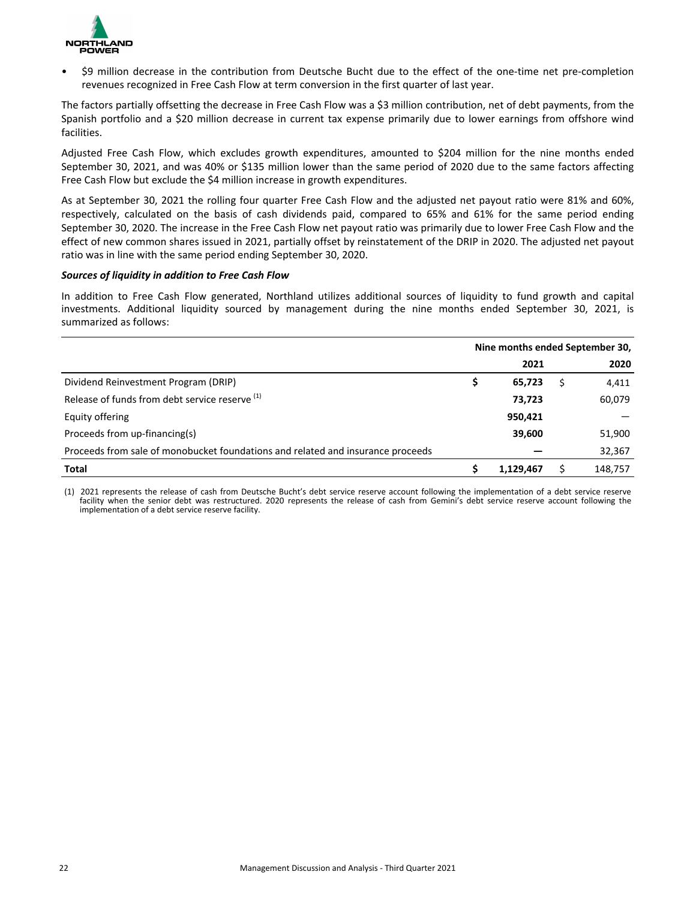

• \$9 million decrease in the contribution from Deutsche Bucht due to the effect of the one-time net pre-completion revenues recognized in Free Cash Flow at term conversion in the first quarter of last year.

The factors partially offsetting the decrease in Free Cash Flow was a \$3 million contribution, net of debt payments, from the Spanish portfolio and a \$20 million decrease in current tax expense primarily due to lower earnings from offshore wind facilities.

Adjusted Free Cash Flow, which excludes growth expenditures, amounted to \$204 million for the nine months ended September 30, 2021, and was 40% or \$135 million lower than the same period of 2020 due to the same factors affecting Free Cash Flow but exclude the \$4 million increase in growth expenditures.

As at September 30, 2021 the rolling four quarter Free Cash Flow and the adjusted net payout ratio were 81% and 60%, respectively, calculated on the basis of cash dividends paid, compared to 65% and 61% for the same period ending September 30, 2020. The increase in the Free Cash Flow net payout ratio was primarily due to lower Free Cash Flow and the effect of new common shares issued in 2021, partially offset by reinstatement of the DRIP in 2020. The adjusted net payout ratio was in line with the same period ending September 30, 2020.

#### *Sources of liquidity in addition to Free Cash Flow*

In addition to Free Cash Flow generated, Northland utilizes additional sources of liquidity to fund growth and capital investments. Additional liquidity sourced by management during the nine months ended September 30, 2021, is summarized as follows:

|                                                                                 | Nine months ended September 30, |           |  |         |  |  |  |
|---------------------------------------------------------------------------------|---------------------------------|-----------|--|---------|--|--|--|
|                                                                                 |                                 | 2021      |  | 2020    |  |  |  |
| Dividend Reinvestment Program (DRIP)                                            | \$                              | 65,723    |  | 4,411   |  |  |  |
| Release of funds from debt service reserve (1)                                  |                                 | 73,723    |  | 60,079  |  |  |  |
| Equity offering                                                                 |                                 | 950,421   |  |         |  |  |  |
| Proceeds from up-financing(s)                                                   |                                 | 39,600    |  | 51,900  |  |  |  |
| Proceeds from sale of monobucket foundations and related and insurance proceeds |                                 |           |  | 32,367  |  |  |  |
| <b>Total</b>                                                                    |                                 | 1,129,467 |  | 148,757 |  |  |  |

(1) 2021 represents the release of cash from Deutsche Bucht's debt service reserve account following the implementation of a debt service reserve facility when the senior debt was restructured. 2020 represents the release of cash from Gemini's debt service reserve account following the implementation of a debt service reserve facility.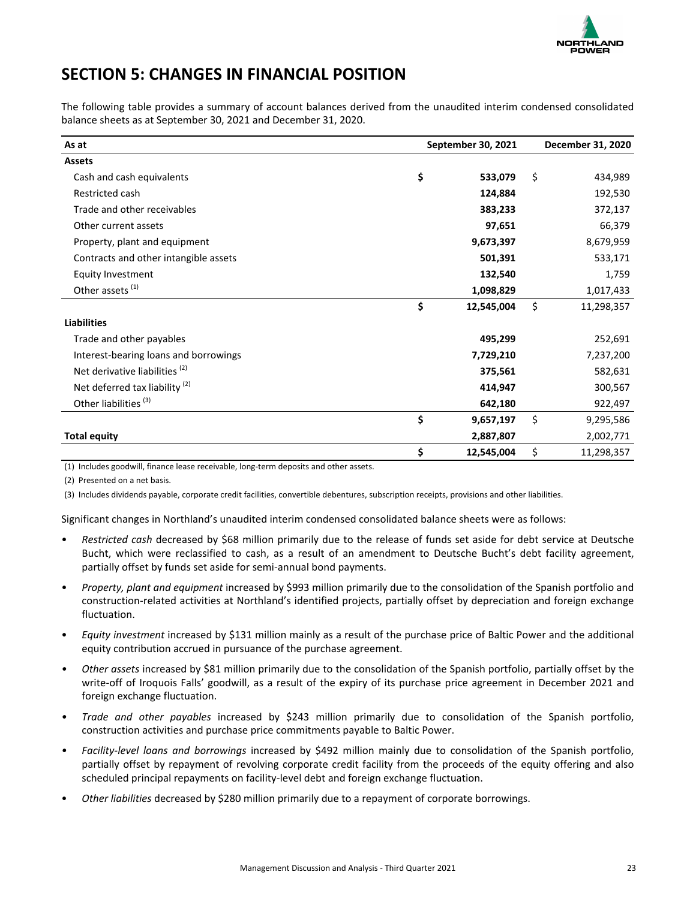

## <span id="page-22-0"></span>**SECTION 5: CHANGES IN FINANCIAL POSITION**

The following table provides a summary of account balances derived from the unaudited interim condensed consolidated balance sheets as at September 30, 2021 and December 31, 2020.

| As at                                     | September 30, 2021 |            |    |            |  |  |
|-------------------------------------------|--------------------|------------|----|------------|--|--|
| <b>Assets</b>                             |                    |            |    |            |  |  |
| Cash and cash equivalents                 | \$                 | 533,079    | \$ | 434,989    |  |  |
| Restricted cash                           |                    | 124,884    |    | 192,530    |  |  |
| Trade and other receivables               |                    | 383,233    |    | 372,137    |  |  |
| Other current assets                      |                    | 97,651     |    | 66,379     |  |  |
| Property, plant and equipment             |                    | 9,673,397  |    | 8,679,959  |  |  |
| Contracts and other intangible assets     |                    | 501,391    |    | 533,171    |  |  |
| <b>Equity Investment</b>                  |                    | 132,540    |    | 1,759      |  |  |
| Other assets <sup>(1)</sup>               |                    | 1,098,829  |    | 1,017,433  |  |  |
|                                           | \$                 | 12,545,004 | \$ | 11,298,357 |  |  |
| <b>Liabilities</b>                        |                    |            |    |            |  |  |
| Trade and other payables                  |                    | 495,299    |    | 252,691    |  |  |
| Interest-bearing loans and borrowings     |                    | 7,729,210  |    | 7,237,200  |  |  |
| Net derivative liabilities <sup>(2)</sup> |                    | 375,561    |    | 582,631    |  |  |
| Net deferred tax liability <sup>(2)</sup> |                    | 414,947    |    | 300,567    |  |  |
| Other liabilities <sup>(3)</sup>          |                    | 642,180    |    | 922,497    |  |  |
|                                           | \$                 | 9,657,197  | \$ | 9,295,586  |  |  |
| <b>Total equity</b>                       |                    | 2,887,807  |    | 2,002,771  |  |  |
|                                           | \$                 | 12,545,004 | \$ | 11,298,357 |  |  |

(1) Includes goodwill, finance lease receivable, long-term deposits and other assets.

(2) Presented on a net basis.

(3) Includes dividends payable, corporate credit facilities, convertible debentures, subscription receipts, provisions and other liabilities.

Significant changes in Northland's unaudited interim condensed consolidated balance sheets were as follows:

- Restricted cash decreased by \$68 million primarily due to the release of funds set aside for debt service at Deutsche Bucht, which were reclassified to cash, as a result of an amendment to Deutsche Bucht's debt facility agreement, partially offset by funds set aside for semi-annual bond payments.
- Property, plant and equipment increased by \$993 million primarily due to the consolidation of the Spanish portfolio and construction-related activities at Northland's identified projects, partially offset by depreciation and foreign exchange fluctuation.
- *Equity investment* increased by \$131 million mainly as a result of the purchase price of Baltic Power and the additional equity contribution accrued in pursuance of the purchase agreement.
- Other assets increased by \$81 million primarily due to the consolidation of the Spanish portfolio, partially offset by the write-off of Iroquois Falls' goodwill, as a result of the expiry of its purchase price agreement in December 2021 and foreign exchange fluctuation.
- *Trade and other payables* increased by \$243 million primarily due to consolidation of the Spanish portfolio, construction activities and purchase price commitments payable to Baltic Power.
- Facility-level loans and borrowings increased by \$492 million mainly due to consolidation of the Spanish portfolio, partially offset by repayment of revolving corporate credit facility from the proceeds of the equity offering and also scheduled principal repayments on facility-level debt and foreign exchange fluctuation.
- Other liabilities decreased by \$280 million primarily due to a repayment of corporate borrowings.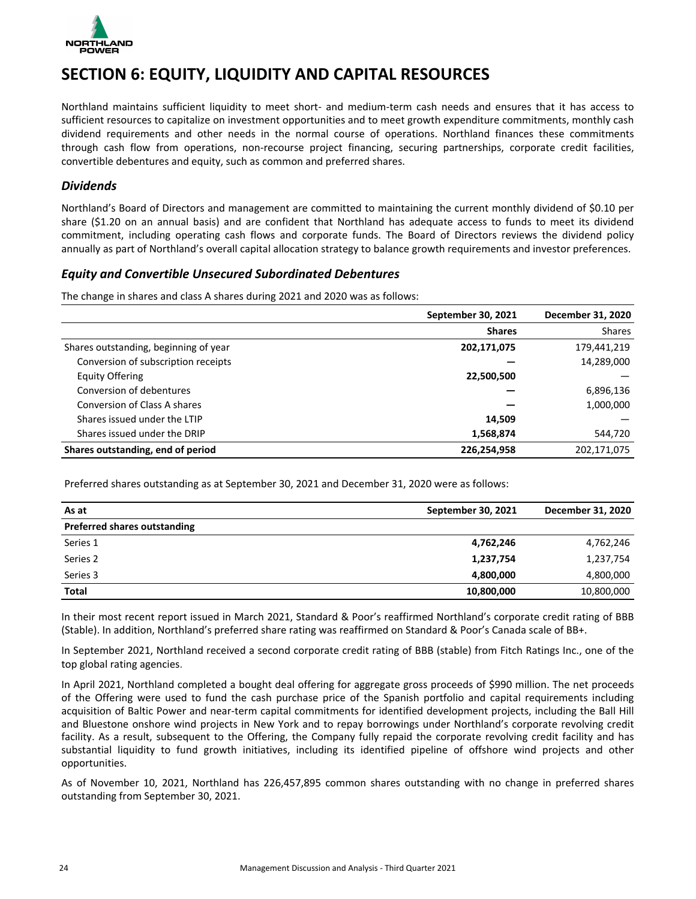<span id="page-23-0"></span>

## **SECTION 6: EQUITY, LIQUIDITY AND CAPITAL RESOURCES**

Northland maintains sufficient liquidity to meet short- and medium-term cash needs and ensures that it has access to sufficient resources to capitalize on investment opportunities and to meet growth expenditure commitments, monthly cash dividend requirements and other needs in the normal course of operations. Northland finances these commitments through cash flow from operations, non-recourse project financing, securing partnerships, corporate credit facilities, convertible debentures and equity, such as common and preferred shares.

### *Dividends*

Northland's Board of Directors and management are committed to maintaining the current monthly dividend of \$0.10 per share  $(S1.20$  on an annual basis) and are confident that Northland has adequate access to funds to meet its dividend commitment, including operating cash flows and corporate funds. The Board of Directors reviews the dividend policy annually as part of Northland's overall capital allocation strategy to balance growth requirements and investor preferences.

### *Equity and Convertible Unsecured Subordinated Debentures*

The change in shares and class A shares during 2021 and 2020 was as follows:

|                                       | September 30, 2021 | December 31, 2020 |
|---------------------------------------|--------------------|-------------------|
|                                       | <b>Shares</b>      | <b>Shares</b>     |
| Shares outstanding, beginning of year | 202,171,075        | 179,441,219       |
| Conversion of subscription receipts   |                    | 14,289,000        |
| Equity Offering                       | 22,500,500         |                   |
| Conversion of debentures              |                    | 6,896,136         |
| Conversion of Class A shares          |                    | 1,000,000         |
| Shares issued under the LTIP          | 14.509             |                   |
| Shares issued under the DRIP          | 1,568,874          | 544,720           |
| Shares outstanding, end of period     | 226,254,958        | 202,171,075       |

Preferred shares outstanding as at September 30, 2021 and December 31, 2020 were as follows:

| As at                               | September 30, 2021 | December 31, 2020 |
|-------------------------------------|--------------------|-------------------|
| <b>Preferred shares outstanding</b> |                    |                   |
| Series 1                            | 4,762,246          | 4,762,246         |
| Series 2                            | 1,237,754          | 1,237,754         |
| Series 3                            | 4,800,000          | 4,800,000         |
| <b>Total</b>                        | 10,800,000         | 10,800,000        |

In their most recent report issued in March 2021, Standard & Poor's reaffirmed Northland's corporate credit rating of BBB (Stable). In addition, Northland's preferred share rating was reaffirmed on Standard & Poor's Canada scale of BB+.

In September 2021, Northland received a second corporate credit rating of BBB (stable) from Fitch Ratings Inc., one of the top global rating agencies.

In April 2021, Northland completed a bought deal offering for aggregate gross proceeds of \$990 million. The net proceeds of the Offering were used to fund the cash purchase price of the Spanish portfolio and capital requirements including acquisition of Baltic Power and near-term capital commitments for identified development projects, including the Ball Hill and Bluestone onshore wind projects in New York and to repay borrowings under Northland's corporate revolving credit facility. As a result, subsequent to the Offering, the Company fully repaid the corporate revolving credit facility and has substantial liquidity to fund growth initiatives, including its identified pipeline of offshore wind projects and other opportunities.

As of November 10, 2021, Northland has 226,457,895 common shares outstanding with no change in preferred shares outstanding from September 30, 2021.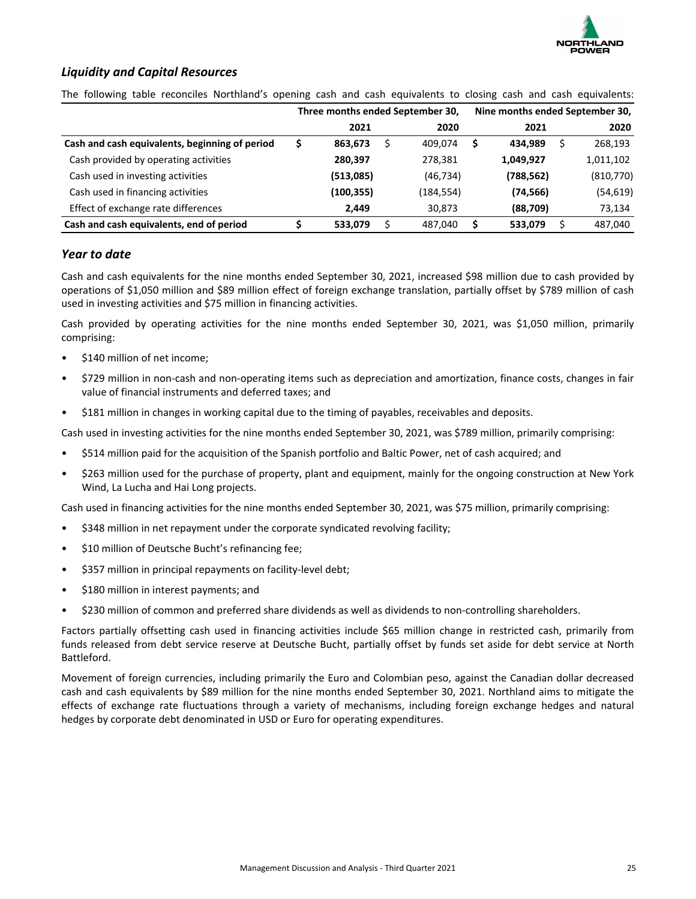

### *Liquidity and Capital Resources*

The following table reconciles Northland's opening cash and cash equivalents to closing cash and cash equivalents:

|                                                | Three months ended September 30, |           | Nine months ended September 30, |            |  |           |  |
|------------------------------------------------|----------------------------------|-----------|---------------------------------|------------|--|-----------|--|
|                                                | 2021                             | 2020      |                                 | 2021       |  | 2020      |  |
| Cash and cash equivalents, beginning of period | S<br>863,673                     | 409.074   | S                               | 434.989    |  | 268,193   |  |
| Cash provided by operating activities          | 280,397                          | 278,381   |                                 | 1,049,927  |  | 1,011,102 |  |
| Cash used in investing activities              | (513,085)                        | (46, 734) |                                 | (788, 562) |  | (810,770) |  |
| Cash used in financing activities              | (100,355)                        | (184,554) |                                 | (74, 566)  |  | (54, 619) |  |
| Effect of exchange rate differences            | 2.449                            | 30,873    |                                 | (88,709)   |  | 73,134    |  |
| Cash and cash equivalents, end of period       | S<br>533,079                     | 487,040   |                                 | 533,079    |  | 487,040   |  |

### *Year to date*

Cash and cash equivalents for the nine months ended September 30, 2021, increased \$98 million due to cash provided by operations of \$1,050 million and \$89 million effect of foreign exchange translation, partially offset by \$789 million of cash used in investing activities and \$75 million in financing activities.

Cash provided by operating activities for the nine months ended September 30, 2021, was \$1,050 million, primarily comprising:

- \$140 million of net income;
- \$729 million in non-cash and non-operating items such as depreciation and amortization, finance costs, changes in fair value of financial instruments and deferred taxes; and
- \$181 million in changes in working capital due to the timing of payables, receivables and deposits.

Cash used in investing activities for the nine months ended September 30, 2021, was \$789 million, primarily comprising:

- \$514 million paid for the acquisition of the Spanish portfolio and Baltic Power, net of cash acquired; and
- \$263 million used for the purchase of property, plant and equipment, mainly for the ongoing construction at New York Wind, La Lucha and Hai Long projects.

Cash used in financing activities for the nine months ended September 30, 2021, was \$75 million, primarily comprising:

- \$348 million in net repayment under the corporate syndicated revolving facility;
- \$10 million of Deutsche Bucht's refinancing fee;
- \$357 million in principal repayments on facility-level debt;
- \$180 million in interest payments; and
- \$230 million of common and preferred share dividends as well as dividends to non-controlling shareholders.

Factors partially offsetting cash used in financing activities include \$65 million change in restricted cash, primarily from funds released from debt service reserve at Deutsche Bucht, partially offset by funds set aside for debt service at North Battleford.

Movement of foreign currencies, including primarily the Euro and Colombian peso, against the Canadian dollar decreased cash and cash equivalents by \$89 million for the nine months ended September 30, 2021. Northland aims to mitigate the effects of exchange rate fluctuations through a variety of mechanisms, including foreign exchange hedges and natural hedges by corporate debt denominated in USD or Euro for operating expenditures.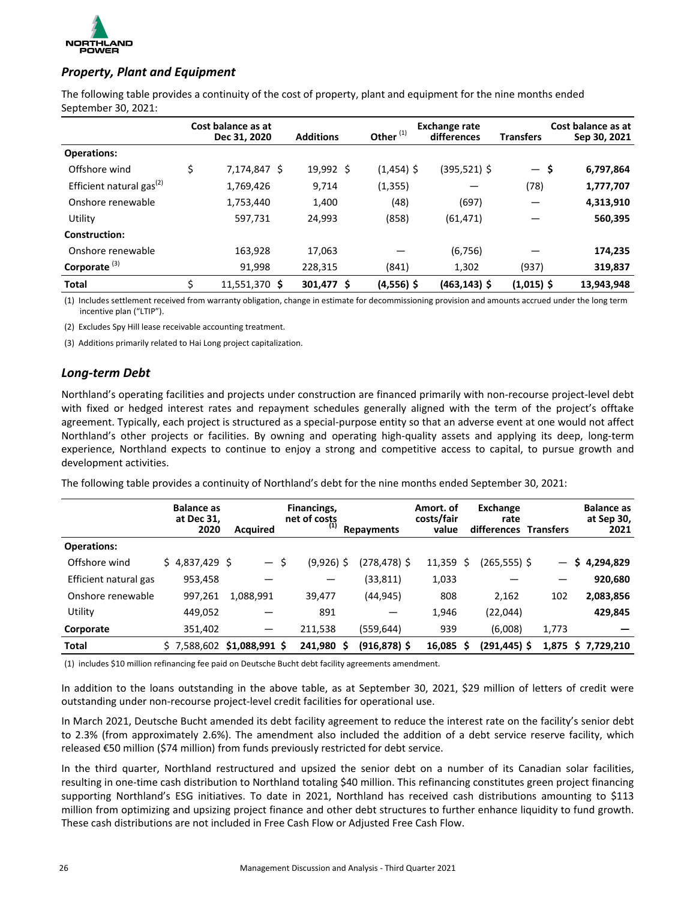

### **Property, Plant and Equipment**

The following table provides a continuity of the cost of property, plant and equipment for the nine months ended September 30, 2021:

|                                      | Cost balance as at<br>Dec 31, 2020 | <b>Additions</b>  | Other <sup>(1)</sup> | Exchange rate<br>differences | <b>Transfers</b> | Cost balance as at<br>Sep 30, 2021 |
|--------------------------------------|------------------------------------|-------------------|----------------------|------------------------------|------------------|------------------------------------|
| <b>Operations:</b>                   |                                    |                   |                      |                              |                  |                                    |
| Offshore wind                        | \$<br>7,174,847 \$                 | $19,992 \text{ }$ | $(1,454)$ \$         | (395,521) \$                 | — \$             | 6,797,864                          |
| Efficient natural gas <sup>(2)</sup> | 1,769,426                          | 9,714             | (1, 355)             |                              | (78)             | 1,777,707                          |
| Onshore renewable                    | 1,753,440                          | 1,400             | (48)                 | (697)                        |                  | 4,313,910                          |
| Utility                              | 597,731                            | 24,993            | (858)                | (61, 471)                    |                  | 560,395                            |
| Construction:                        |                                    |                   |                      |                              |                  |                                    |
| Onshore renewable                    | 163,928                            | 17,063            |                      | (6, 756)                     |                  | 174,235                            |
| Corporate $(3)$                      | 91,998                             | 228,315           | (841)                | 1,302                        | (937)            | 319,837                            |
| <b>Total</b>                         | \$<br>11,551,370 \$                | 301,477 \$        | $(4,556)$ \$         | $(463, 143)$ \$              | $(1,015)$ \$     | 13,943,948                         |

(1) Includes settlement received from warranty obligation, change in estimate for decommissioning provision and amounts accrued under the long term incentive plan ("LTIP").

(2) Excludes Spy Hill lease receivable accounting treatment.

(3) Additions primarily related to Hai Long project capitalization.

### *Long-term Debt*

Northland's operating facilities and projects under construction are financed primarily with non-recourse project-level debt with fixed or hedged interest rates and repayment schedules generally aligned with the term of the project's offtake agreement. Typically, each project is structured as a special-purpose entity so that an adverse event at one would not affect Northland's other projects or facilities. By owning and operating high-quality assets and applying its deep, long-term experience, Northland expects to continue to enjoy a strong and competitive access to capital, to pursue growth and development activities.

The following table provides a continuity of Northland's debt for the nine months ended September 30, 2021:

|                       | <b>Balance as</b><br>at Dec 31, | 2020    | <b>Acquired</b>             | Financings,<br>net of costs<br>(1) | Repayments           | Amort. of<br>costs/fair<br>value |    | Exchange<br>rate<br>differences Transfers |       | <b>Balance as</b><br>at Sep 30,<br>2021 |
|-----------------------|---------------------------------|---------|-----------------------------|------------------------------------|----------------------|----------------------------------|----|-------------------------------------------|-------|-----------------------------------------|
| <b>Operations:</b>    |                                 |         |                             |                                    |                      |                                  |    |                                           |       |                                         |
| Offshore wind         | $$4,837,429$ \$                 |         | — \$                        | $(9,926)$ \$                       | (278,478) \$         | $11,359$ \$                      |    | $(265, 555)$ \$                           |       | 4,294,829<br>S                          |
| Efficient natural gas |                                 | 953,458 |                             |                                    | (33, 811)            | 1,033                            |    |                                           |       | 920,680                                 |
| Onshore renewable     |                                 | 997,261 | 1,088,991                   | 39,477                             | (44, 945)            | 808                              |    | 2,162                                     | 102   | 2,083,856                               |
| Utility               |                                 | 449,052 |                             | 891                                |                      | 1,946                            |    | (22,044)                                  |       | 429,845                                 |
| Corporate             |                                 | 351,402 |                             | 211,538                            | (559, 644)           | 939                              |    | (6,008)                                   | 1,773 |                                         |
| <b>Total</b>          |                                 |         | $$7,588,602$ \$1,088,991 \$ | 241.980                            | $(916, 878)$ \$<br>S | 16,085                           | S. | $(291, 445)$ \$                           | 1,875 | \$7,729,210                             |

(1) includes \$10 million refinancing fee paid on Deutsche Bucht debt facility agreements amendment.

In addition to the loans outstanding in the above table, as at September 30, 2021, \$29 million of letters of credit were outstanding under non-recourse project-level credit facilities for operational use.

In March 2021, Deutsche Bucht amended its debt facility agreement to reduce the interest rate on the facility's senior debt to 2.3% (from approximately 2.6%). The amendment also included the addition of a debt service reserve facility, which released €50 million (\$74 million) from funds previously restricted for debt service.

In the third quarter, Northland restructured and upsized the senior debt on a number of its Canadian solar facilities, resulting in one-time cash distribution to Northland totaling \$40 million. This refinancing constitutes green project financing supporting Northland's ESG initiatives. To date in 2021, Northland has received cash distributions amounting to \$113 million from optimizing and upsizing project finance and other debt structures to further enhance liquidity to fund growth. These cash distributions are not included in Free Cash Flow or Adjusted Free Cash Flow.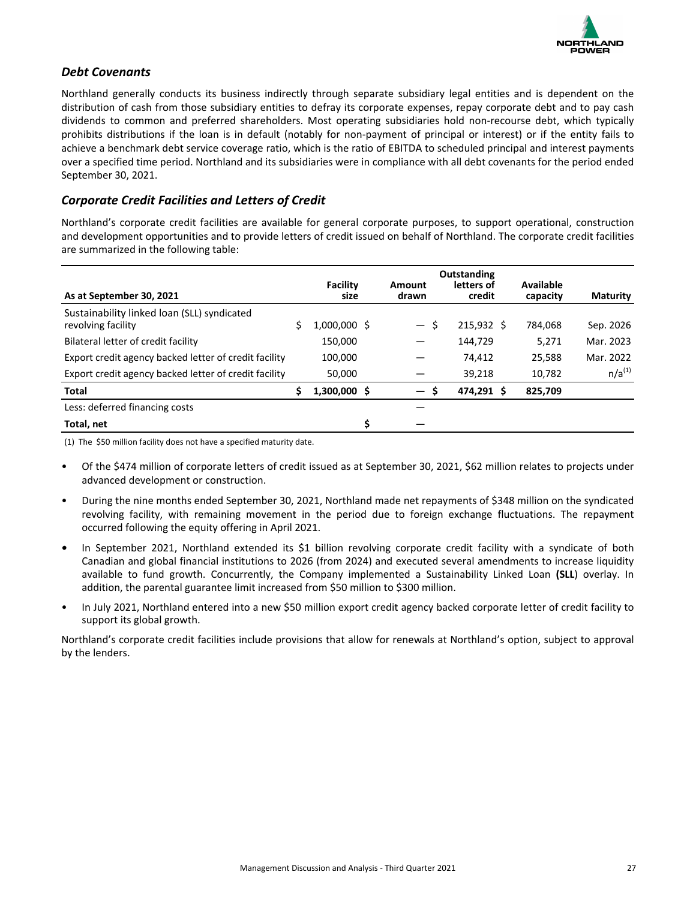

### *Debt Covenants*

Northland generally conducts its business indirectly through separate subsidiary legal entities and is dependent on the distribution of cash from those subsidiary entities to defray its corporate expenses, repay corporate debt and to pay cash dividends to common and preferred shareholders. Most operating subsidiaries hold non-recourse debt, which typically prohibits distributions if the loan is in default (notably for non-payment of principal or interest) or if the entity fails to achieve a benchmark debt service coverage ratio, which is the ratio of EBITDA to scheduled principal and interest payments over a specified time period. Northland and its subsidiaries were in compliance with all debt covenants for the period ended September 30, 2021.

### *Corporate Credit Facilities and Letters of Credit*

Northland's corporate credit facilities are available for general corporate purposes, to support operational, construction and development opportunities and to provide letters of credit issued on behalf of Northland. The corporate credit facilities are summarized in the following table:

|                                                                   |                         |                   |    | <b>Outstanding</b>   |                       |                 |
|-------------------------------------------------------------------|-------------------------|-------------------|----|----------------------|-----------------------|-----------------|
| As at September 30, 2021                                          | <b>Facility</b><br>size | Amount<br>drawn   |    | letters of<br>credit | Available<br>capacity | <b>Maturity</b> |
| Sustainability linked loan (SLL) syndicated<br>revolving facility | 1,000,000 \$            | $-5$              |    | 215,932 \$           | 784.068               | Sep. 2026       |
| Bilateral letter of credit facility                               | 150,000                 |                   |    | 144,729              | 5.271                 | Mar. 2023       |
| Export credit agency backed letter of credit facility             | 100,000                 |                   |    | 74.412               | 25,588                | Mar. 2022       |
| Export credit agency backed letter of credit facility             | 50.000                  |                   |    | 39,218               | 10.782                | $n/a^{(1)}$     |
| <b>Total</b>                                                      | $1,300,000$ \$          | $\qquad \qquad -$ | -Ś | 474,291 \$           | 825,709               |                 |
| Less: deferred financing costs                                    |                         |                   |    |                      |                       |                 |
| Total, net                                                        |                         | \$                |    |                      |                       |                 |

(1) The \$50 million facility does not have a specified maturity date.

- Of the \$474 million of corporate letters of credit issued as at September 30, 2021, \$62 million relates to projects under advanced development or construction.
- During the nine months ended September 30, 2021, Northland made net repayments of \$348 million on the syndicated revolving facility, with remaining movement in the period due to foreign exchange fluctuations. The repayment occurred following the equity offering in April 2021.
- In September 2021, Northland extended its \$1 billion revolving corporate credit facility with a syndicate of both Canadian and global financial institutions to 2026 (from 2024) and executed several amendments to increase liquidity available to fund growth. Concurrently, the Company implemented a Sustainability Linked Loan (SLL) overlay. In addition, the parental guarantee limit increased from \$50 million to \$300 million.
- In July 2021, Northland entered into a new \$50 million export credit agency backed corporate letter of credit facility to support its global growth.

Northland's corporate credit facilities include provisions that allow for renewals at Northland's option, subject to approval by the lenders.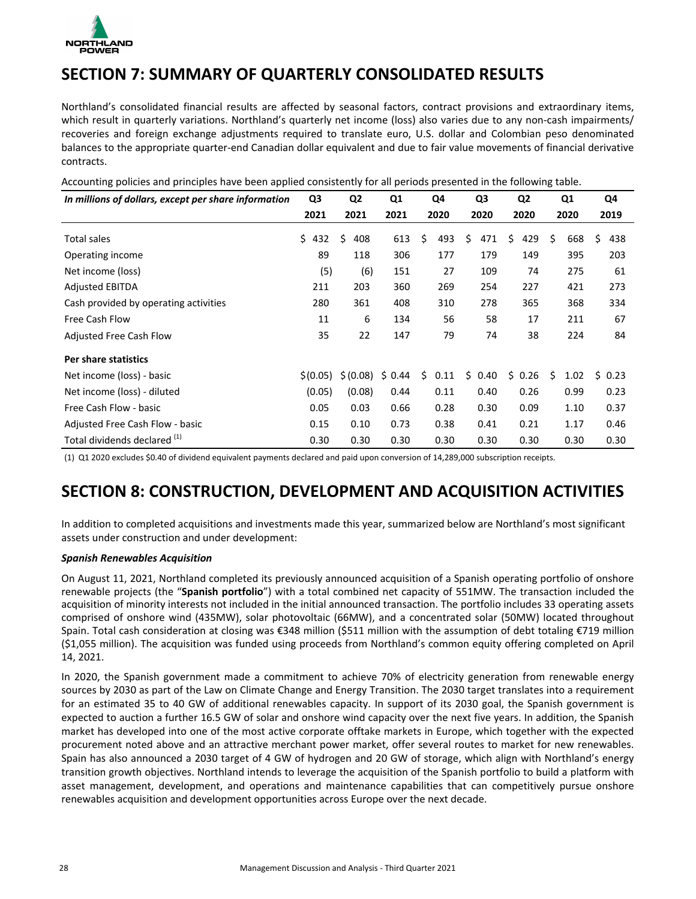<span id="page-27-0"></span>

## **SECTION 7: SUMMARY OF QUARTERLY CONSOLIDATED RESULTS**

Northland's consolidated financial results are affected by seasonal factors, contract provisions and extraordinary items, which result in quarterly variations. Northland's quarterly net income (loss) also varies due to any non-cash impairments/ recoveries and foreign exchange adjustments required to translate euro, U.S. dollar and Colombian peso denominated balances to the appropriate quarter-end Canadian dollar equivalent and due to fair value movements of financial derivative contracts. 

| In millions of dollars, except per share information | Q3         | Q <sub>2</sub> | Q <sub>1</sub> | Q4         | Q3         | Q <sub>2</sub> | Q1        | Q4        |
|------------------------------------------------------|------------|----------------|----------------|------------|------------|----------------|-----------|-----------|
|                                                      | 2021       | 2021           | 2021           | 2020       | 2020       | 2020           | 2020      | 2019      |
| Total sales                                          | \$.<br>432 | Ś.<br>408      | 613            | \$<br>493  | \$<br>471  | \$<br>429      | Ŝ.<br>668 | Ś.<br>438 |
| Operating income                                     | 89         | 118            | 306            | 177        | 179        | 149            | 395       | 203       |
| Net income (loss)                                    | (5)        | (6)            | 151            | 27         | 109        | 74             | 275       | 61        |
| <b>Adjusted EBITDA</b>                               | 211        | 203            | 360            | 269        | 254        | 227            | 421       | 273       |
| Cash provided by operating activities                | 280        | 361            | 408            | 310        | 278        | 365            | 368       | 334       |
| Free Cash Flow                                       | 11         | 6              | 134            | 56         | 58         | 17             | 211       | 67        |
| Adjusted Free Cash Flow                              | 35         | 22             | 147            | 79         | 74         | 38             | 224       | 84        |
| Per share statistics                                 |            |                |                |            |            |                |           |           |
| Net income (loss) - basic                            | \$(0.05)   | \$(0.08)       | \$0.44         | Ś.<br>0.11 | Ś.<br>0.40 | Ś.<br>0.26     | Ś<br>1.02 | \$0.23    |
| Net income (loss) - diluted                          | (0.05)     | (0.08)         | 0.44           | 0.11       | 0.40       | 0.26           | 0.99      | 0.23      |
| Free Cash Flow - basic                               | 0.05       | 0.03           | 0.66           | 0.28       | 0.30       | 0.09           | 1.10      | 0.37      |
| Adjusted Free Cash Flow - basic                      | 0.15       | 0.10           | 0.73           | 0.38       | 0.41       | 0.21           | 1.17      | 0.46      |
| Total dividends declared (1)                         | 0.30       | 0.30           | 0.30           | 0.30       | 0.30       | 0.30           | 0.30      | 0.30      |

Accounting policies and principles have been applied consistently for all periods presented in the following table.

(1) Q1 2020 excludes \$0.40 of dividend equivalent payments declared and paid upon conversion of 14,289,000 subscription receipts.

## **SECTION 8: CONSTRUCTION, DEVELOPMENT AND ACQUISITION ACTIVITIES**

In addition to completed acquisitions and investments made this year, summarized below are Northland's most significant assets under construction and under development:

### *Spanish Renewables Acquisition*

On August 11, 2021, Northland completed its previously announced acquisition of a Spanish operating portfolio of onshore renewable projects (the "Spanish portfolio") with a total combined net capacity of 551MW. The transaction included the acquisition of minority interests not included in the initial announced transaction. The portfolio includes 33 operating assets comprised of onshore wind (435MW), solar photovoltaic (66MW), and a concentrated solar (50MW) located throughout Spain. Total cash consideration at closing was €348 million (\$511 million with the assumption of debt totaling €719 million (\$1,055 million). The acquisition was funded using proceeds from Northland's common equity offering completed on April 14, 2021.

In 2020, the Spanish government made a commitment to achieve 70% of electricity generation from renewable energy sources by 2030 as part of the Law on Climate Change and Energy Transition. The 2030 target translates into a requirement for an estimated 35 to 40 GW of additional renewables capacity. In support of its 2030 goal, the Spanish government is expected to auction a further 16.5 GW of solar and onshore wind capacity over the next five years. In addition, the Spanish market has developed into one of the most active corporate offtake markets in Europe, which together with the expected procurement noted above and an attractive merchant power market, offer several routes to market for new renewables. Spain has also announced a 2030 target of 4 GW of hydrogen and 20 GW of storage, which align with Northland's energy transition growth objectives. Northland intends to leverage the acquisition of the Spanish portfolio to build a platform with asset management, development, and operations and maintenance capabilities that can competitively pursue onshore renewables acquisition and development opportunities across Europe over the next decade.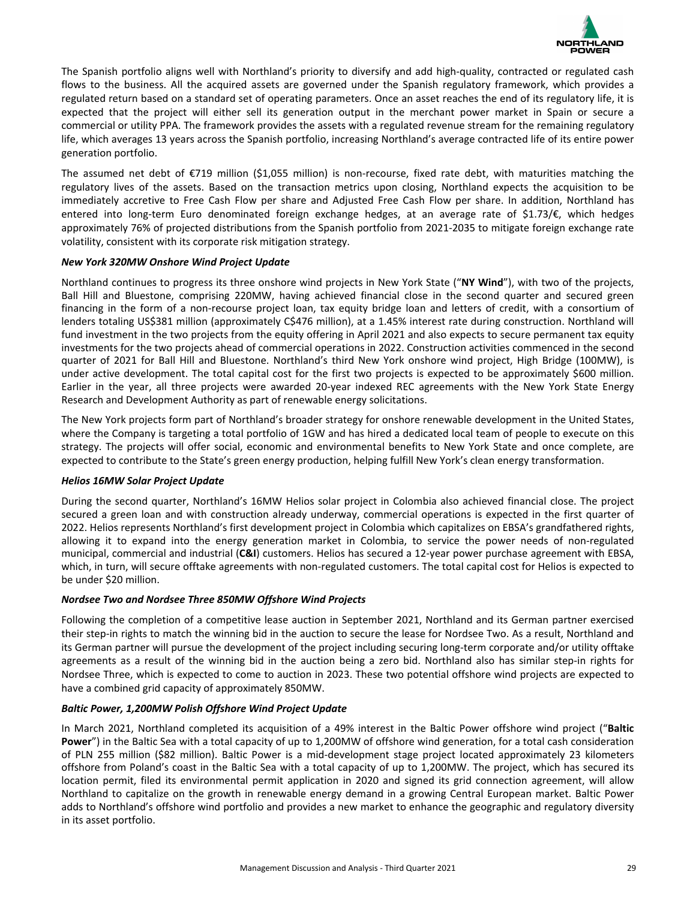

The Spanish portfolio aligns well with Northland's priority to diversify and add high-quality, contracted or regulated cash flows to the business. All the acquired assets are governed under the Spanish regulatory framework, which provides a regulated return based on a standard set of operating parameters. Once an asset reaches the end of its regulatory life, it is expected that the project will either sell its generation output in the merchant power market in Spain or secure a commercial or utility PPA. The framework provides the assets with a regulated revenue stream for the remaining regulatory life, which averages 13 years across the Spanish portfolio, increasing Northland's average contracted life of its entire power generation portfolio.

The assumed net debt of  $E$ 719 million (\$1,055 million) is non-recourse, fixed rate debt, with maturities matching the regulatory lives of the assets. Based on the transaction metrics upon closing, Northland expects the acquisition to be immediately accretive to Free Cash Flow per share and Adjusted Free Cash Flow per share. In addition, Northland has entered into long-term Euro denominated foreign exchange hedges, at an average rate of \$1.73/€, which hedges approximately 76% of projected distributions from the Spanish portfolio from 2021-2035 to mitigate foreign exchange rate volatility, consistent with its corporate risk mitigation strategy.

### *New York 320MW Onshore Wind Project Update*

Northland continues to progress its three onshore wind projects in New York State ("NY Wind"), with two of the projects, Ball Hill and Bluestone, comprising 220MW, having achieved financial close in the second quarter and secured green financing in the form of a non-recourse project loan, tax equity bridge loan and letters of credit, with a consortium of lenders totaling US\$381 million (approximately C\$476 million), at a 1.45% interest rate during construction. Northland will fund investment in the two projects from the equity offering in April 2021 and also expects to secure permanent tax equity investments for the two projects ahead of commercial operations in 2022. Construction activities commenced in the second quarter of 2021 for Ball Hill and Bluestone. Northland's third New York onshore wind project, High Bridge (100MW), is under active development. The total capital cost for the first two projects is expected to be approximately \$600 million. Earlier in the year, all three projects were awarded 20-year indexed REC agreements with the New York State Energy Research and Development Authority as part of renewable energy solicitations.

The New York projects form part of Northland's broader strategy for onshore renewable development in the United States, where the Company is targeting a total portfolio of 1GW and has hired a dedicated local team of people to execute on this strategy. The projects will offer social, economic and environmental benefits to New York State and once complete, are expected to contribute to the State's green energy production, helping fulfill New York's clean energy transformation.

#### *Helios 16MW Solar Project Update*

During the second quarter, Northland's 16MW Helios solar project in Colombia also achieved financial close. The project secured a green loan and with construction already underway, commercial operations is expected in the first quarter of 2022. Helios represents Northland's first development project in Colombia which capitalizes on EBSA's grandfathered rights, allowing it to expand into the energy generation market in Colombia, to service the power needs of non-regulated municipal, commercial and industrial (C&I) customers. Helios has secured a 12-year power purchase agreement with EBSA, which, in turn, will secure offtake agreements with non-regulated customers. The total capital cost for Helios is expected to be under \$20 million.

### *Nordsee Two and Nordsee Three 850MW Offshore Wind Projects*

Following the completion of a competitive lease auction in September 2021, Northland and its German partner exercised their step-in rights to match the winning bid in the auction to secure the lease for Nordsee Two. As a result, Northland and its German partner will pursue the development of the project including securing long-term corporate and/or utility offtake agreements as a result of the winning bid in the auction being a zero bid. Northland also has similar step-in rights for Nordsee Three, which is expected to come to auction in 2023. These two potential offshore wind projects are expected to have a combined grid capacity of approximately 850MW.

### Baltic Power, 1,200MW Polish Offshore Wind Project Update

In March 2021, Northland completed its acquisition of a 49% interest in the Baltic Power offshore wind project ("Baltic **Power**") in the Baltic Sea with a total capacity of up to 1,200MW of offshore wind generation, for a total cash consideration of PLN 255 million (\$82 million). Baltic Power is a mid-development stage project located approximately 23 kilometers offshore from Poland's coast in the Baltic Sea with a total capacity of up to 1,200MW. The project, which has secured its location permit, filed its environmental permit application in 2020 and signed its grid connection agreement, will allow Northland to capitalize on the growth in renewable energy demand in a growing Central European market. Baltic Power adds to Northland's offshore wind portfolio and provides a new market to enhance the geographic and regulatory diversity in its asset portfolio.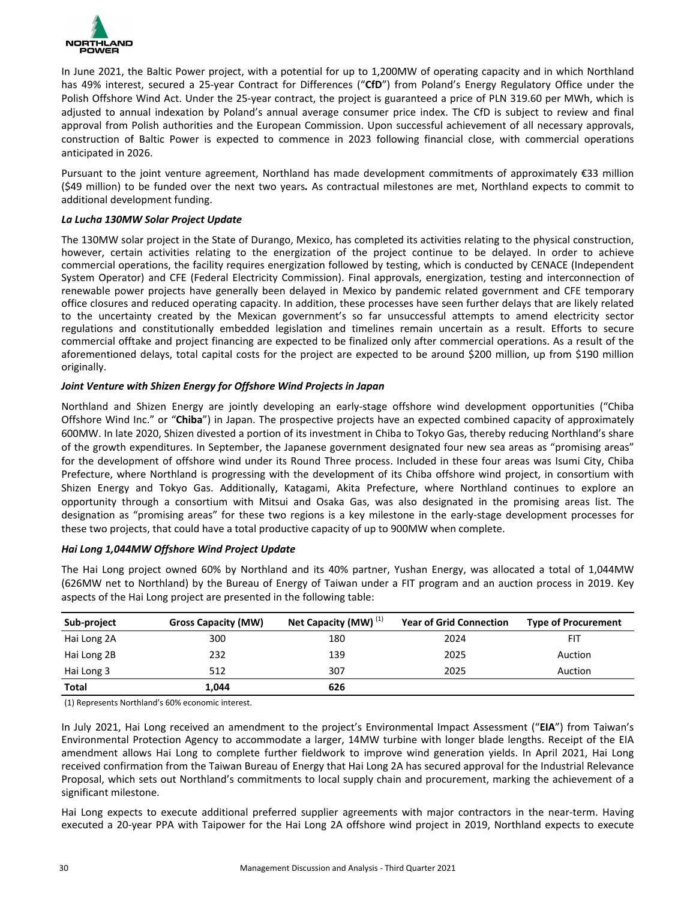

In June 2021, the Baltic Power project, with a potential for up to 1,200MW of operating capacity and in which Northland has 49% interest, secured a 25-year Contract for Differences ("CfD") from Poland's Energy Regulatory Office under the Polish Offshore Wind Act. Under the 25-year contract, the project is guaranteed a price of PLN 319.60 per MWh, which is adjusted to annual indexation by Poland's annual average consumer price index. The CfD is subject to review and final approval from Polish authorities and the European Commission. Upon successful achievement of all necessary approvals, construction of Baltic Power is expected to commence in 2023 following financial close, with commercial operations anticipated in 2026.

Pursuant to the joint venture agreement, Northland has made development commitments of approximately  $\epsilon$ 33 million (\$49 million) to be funded over the next two years. As contractual milestones are met, Northland expects to commit to additional development funding.

### *La Lucha 130MW Solar Project Update*

The 130MW solar project in the State of Durango, Mexico, has completed its activities relating to the physical construction, however, certain activities relating to the energization of the project continue to be delayed. In order to achieve commercial operations, the facility requires energization followed by testing, which is conducted by CENACE (Independent System Operator) and CFE (Federal Electricity Commission). Final approvals, energization, testing and interconnection of renewable power projects have generally been delayed in Mexico by pandemic related government and CFE temporary office closures and reduced operating capacity. In addition, these processes have seen further delays that are likely related to the uncertainty created by the Mexican government's so far unsuccessful attempts to amend electricity sector regulations and constitutionally embedded legislation and timelines remain uncertain as a result. Efforts to secure commercial offtake and project financing are expected to be finalized only after commercial operations. As a result of the aforementioned delays, total capital costs for the project are expected to be around \$200 million, up from \$190 million originally. 

### *Joint Venture with Shizen Energy for Offshore Wind Projects in Japan*

Northland and Shizen Energy are jointly developing an early-stage offshore wind development opportunities ("Chiba Offshore Wind Inc." or "**Chiba**") in Japan. The prospective projects have an expected combined capacity of approximately 600MW. In late 2020, Shizen divested a portion of its investment in Chiba to Tokyo Gas, thereby reducing Northland's share of the growth expenditures. In September, the Japanese government designated four new sea areas as "promising areas" for the development of offshore wind under its Round Three process. Included in these four areas was Isumi City, Chiba Prefecture, where Northland is progressing with the development of its Chiba offshore wind project, in consortium with Shizen Energy and Tokyo Gas. Additionally, Katagami, Akita Prefecture, where Northland continues to explore an opportunity through a consortium with Mitsui and Osaka Gas, was also designated in the promising areas list. The designation as "promising areas" for these two regions is a key milestone in the early-stage development processes for these two projects, that could have a total productive capacity of up to 900MW when complete.

#### *Hai Long 1,044MW Offshore Wind Project Update*

The Hai Long project owned 60% by Northland and its 40% partner, Yushan Energy, was allocated a total of 1,044MW (626MW net to Northland) by the Bureau of Energy of Taiwan under a FIT program and an auction process in 2019. Key aspects of the Hai Long project are presented in the following table:

| Sub-project  | <b>Gross Capacity (MW)</b> | Net Capacity (MW) <sup>(1)</sup> | <b>Year of Grid Connection</b> | <b>Type of Procurement</b> |
|--------------|----------------------------|----------------------------------|--------------------------------|----------------------------|
| Hai Long 2A  | 300                        | 180                              | 2024                           | FIT                        |
| Hai Long 2B  | 232                        | 139                              | 2025                           | Auction                    |
| Hai Long 3   | 512                        | 307                              | 2025                           | Auction                    |
| <b>Total</b> | 1,044                      | 626                              |                                |                            |

(1) Represents Northland's 60% economic interest.

In July 2021, Hai Long received an amendment to the project's Environmental Impact Assessment ("EIA") from Taiwan's Environmental Protection Agency to accommodate a larger, 14MW turbine with longer blade lengths. Receipt of the EIA amendment allows Hai Long to complete further fieldwork to improve wind generation yields. In April 2021, Hai Long received confirmation from the Taiwan Bureau of Energy that Hai Long 2A has secured approval for the Industrial Relevance Proposal, which sets out Northland's commitments to local supply chain and procurement, marking the achievement of a significant milestone.

Hai Long expects to execute additional preferred supplier agreements with major contractors in the near-term. Having executed a 20-year PPA with Taipower for the Hai Long 2A offshore wind project in 2019, Northland expects to execute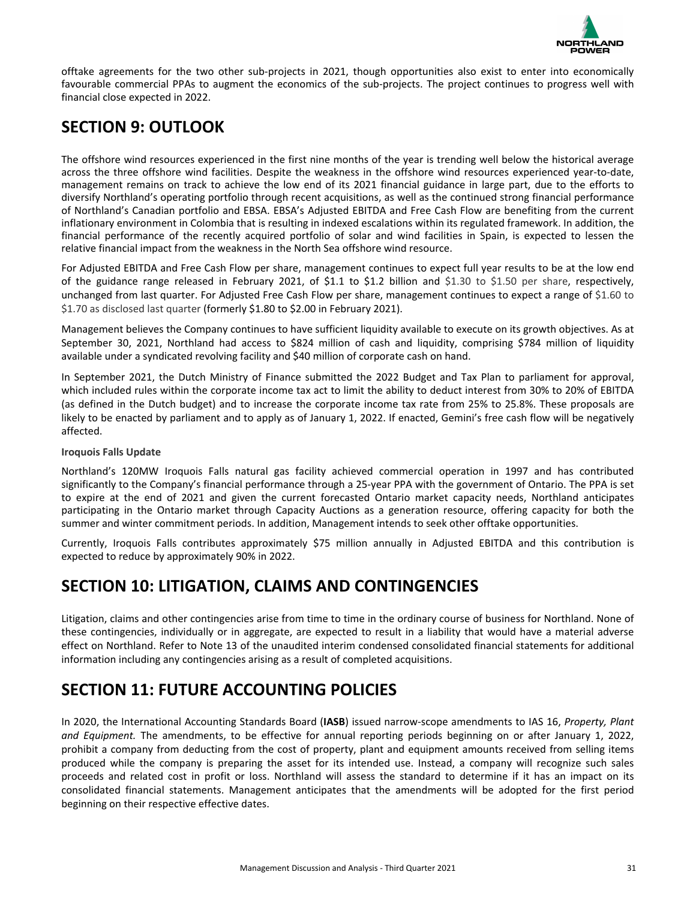

<span id="page-30-0"></span>offtake agreements for the two other sub-projects in 2021, though opportunities also exist to enter into economically favourable commercial PPAs to augment the economics of the sub-projects. The project continues to progress well with financial close expected in 2022.

## **SECTION 9: OUTLOOK**

The offshore wind resources experienced in the first nine months of the year is trending well below the historical average across the three offshore wind facilities. Despite the weakness in the offshore wind resources experienced year-to-date, management remains on track to achieve the low end of its 2021 financial guidance in large part, due to the efforts to diversify Northland's operating portfolio through recent acquisitions, as well as the continued strong financial performance of Northland's Canadian portfolio and EBSA. EBSA's Adjusted EBITDA and Free Cash Flow are benefiting from the current inflationary environment in Colombia that is resulting in indexed escalations within its regulated framework. In addition, the financial performance of the recently acquired portfolio of solar and wind facilities in Spain, is expected to lessen the relative financial impact from the weakness in the North Sea offshore wind resource.

For Adjusted EBITDA and Free Cash Flow per share, management continues to expect full year results to be at the low end of the guidance range released in February 2021, of \$1.1 to \$1.2 billion and \$1.30 to \$1.50 per share, respectively, unchanged from last quarter. For Adjusted Free Cash Flow per share, management continues to expect a range of \$1.60 to \$1.70 as disclosed last quarter (formerly \$1.80 to \$2.00 in February 2021).

Management believes the Company continues to have sufficient liquidity available to execute on its growth objectives. As at September 30, 2021, Northland had access to \$824 million of cash and liquidity, comprising \$784 million of liquidity available under a syndicated revolving facility and \$40 million of corporate cash on hand.

In September 2021, the Dutch Ministry of Finance submitted the 2022 Budget and Tax Plan to parliament for approval, which included rules within the corporate income tax act to limit the ability to deduct interest from 30% to 20% of EBITDA (as defined in the Dutch budget) and to increase the corporate income tax rate from 25% to 25.8%. These proposals are likely to be enacted by parliament and to apply as of January 1, 2022. If enacted, Gemini's free cash flow will be negatively affected.

### **Iroquois Falls Update**

Northland's 120MW Iroquois Falls natural gas facility achieved commercial operation in 1997 and has contributed significantly to the Company's financial performance through a 25-year PPA with the government of Ontario. The PPA is set to expire at the end of 2021 and given the current forecasted Ontario market capacity needs, Northland anticipates participating in the Ontario market through Capacity Auctions as a generation resource, offering capacity for both the summer and winter commitment periods. In addition, Management intends to seek other offtake opportunities.

Currently, Iroquois Falls contributes approximately \$75 million annually in Adjusted EBITDA and this contribution is expected to reduce by approximately 90% in 2022.

## **SECTION 10: LITIGATION, CLAIMS AND CONTINGENCIES**

Litigation, claims and other contingencies arise from time to time in the ordinary course of business for Northland. None of these contingencies, individually or in aggregate, are expected to result in a liability that would have a material adverse effect on Northland. Refer to Note 13 of the unaudited interim condensed consolidated financial statements for additional information including any contingencies arising as a result of completed acquisitions.

## **SECTION 11: FUTURE ACCOUNTING POLICIES**

In 2020, the International Accounting Standards Board (IASB) issued narrow-scope amendments to IAS 16, *Property, Plant* and Equipment. The amendments, to be effective for annual reporting periods beginning on or after January 1, 2022, prohibit a company from deducting from the cost of property, plant and equipment amounts received from selling items produced while the company is preparing the asset for its intended use. Instead, a company will recognize such sales proceeds and related cost in profit or loss. Northland will assess the standard to determine if it has an impact on its consolidated financial statements. Management anticipates that the amendments will be adopted for the first period beginning on their respective effective dates.